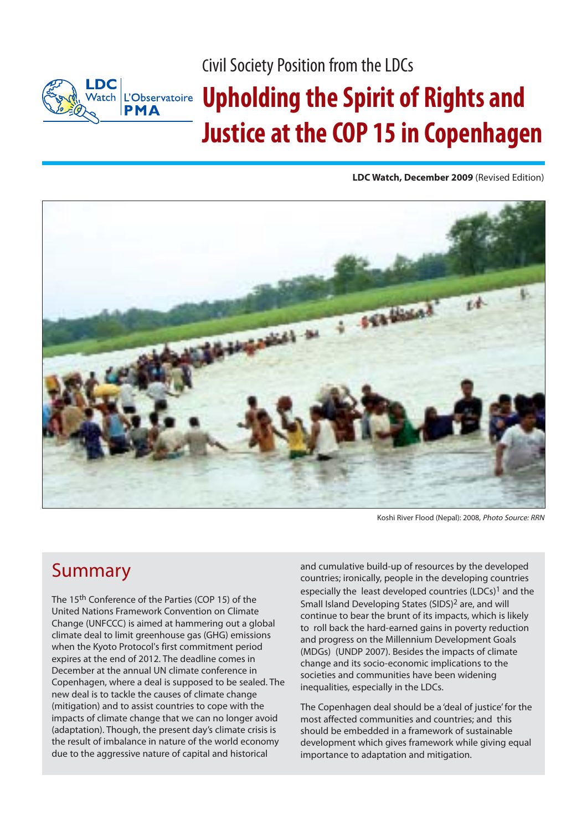Civil Society Position from the LDCs

#### **LDC** Watch L'Observatoire **PMA**

# **Upholding the Spirit of Rights and Justice at the COP 15 in Copenhagen**

**LDC Watch, December 2009** (Revised Edition)



Koshi River Flood (Nepal): 2008, Photo Source: RRN

#### Summary

The 15th Conference of the Parties (COP 15) of the United Nations Framework Convention on Climate Change (UNFCCC) is aimed at hammering out a global climate deal to limit greenhouse gas (GHG) emissions when the Kyoto Protocol's first commitment period expires at the end of 2012. The deadline comes in December at the annual UN climate conference in Copenhagen, where a deal is supposed to be sealed. The new deal is to tackle the causes of climate change (mitigation) and to assist countries to cope with the impacts of climate change that we can no longer avoid (adaptation). Though, the present day's climate crisis is the result of imbalance in nature of the world economy due to the aggressive nature of capital and historical

and cumulative build-up of resources by the developed countries; ironically, people in the developing countries especially the least developed countries (LDCs)<sup>1</sup> and the Small Island Developing States (SIDS)2 are, and will continue to bear the brunt of its impacts, which is likely to roll back the hard-earned gains in poverty reduction and progress on the Millennium Development Goals (MDGs) (UNDP 2007). Besides the impacts of climate change and its socio-economic implications to the societies and communities have been widening inequalities, especially in the LDCs.

The Copenhagen deal should be a 'deal of justice' for the most affected communities and countries; and this should be embedded in a framework of sustainable development which gives framework while giving equal importance to adaptation and mitigation.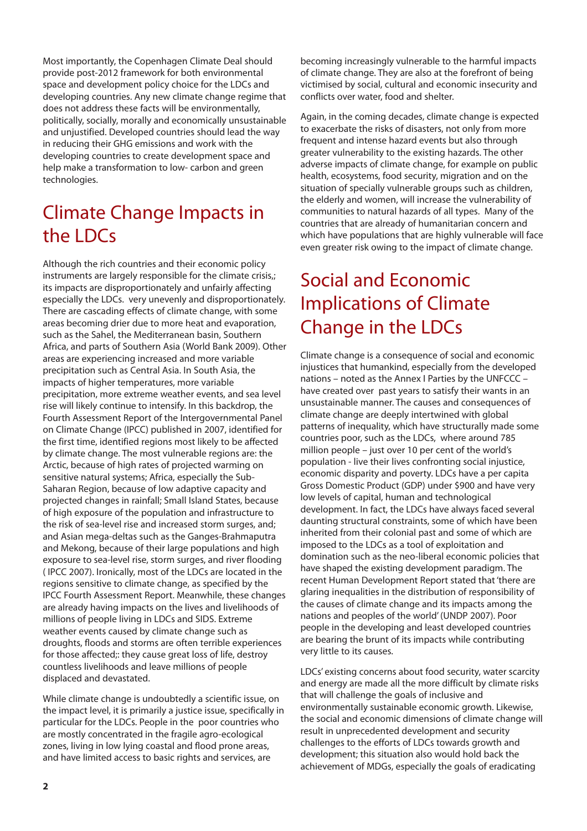Most importantly, the Copenhagen Climate Deal should provide post-2012 framework for both environmental space and development policy choice for the LDCs and developing countries. Any new climate change regime that does not address these facts will be environmentally, politically, socially, morally and economically unsustainable and unjustified. Developed countries should lead the way in reducing their GHG emissions and work with the developing countries to create development space and help make a transformation to low- carbon and green technologies.

### Climate Change Impacts in the LDCs

Although the rich countries and their economic policy instruments are largely responsible for the climate crisis,; its impacts are disproportionately and unfairly affecting especially the LDCs. very unevenly and disproportionately. There are cascading effects of climate change, with some areas becoming drier due to more heat and evaporation, such as the Sahel, the Mediterranean basin, Southern Africa, and parts of Southern Asia (World Bank 2009). Other areas are experiencing increased and more variable precipitation such as Central Asia. In South Asia, the impacts of higher temperatures, more variable precipitation, more extreme weather events, and sea level rise will likely continue to intensify. In this backdrop, the Fourth Assessment Report of the Intergovernmental Panel on Climate Change (IPCC) published in 2007, identified for the first time, identified regions most likely to be affected by climate change. The most vulnerable regions are: the Arctic, because of high rates of projected warming on sensitive natural systems; Africa, especially the Sub-Saharan Region, because of low adaptive capacity and projected changes in rainfall; Small Island States, because of high exposure of the population and infrastructure to the risk of sea-level rise and increased storm surges, and; and Asian mega-deltas such as the Ganges-Brahmaputra and Mekong, because of their large populations and high exposure to sea-level rise, storm surges, and river flooding ( IPCC 2007). Ironically, most of the LDCs are located in the regions sensitive to climate change, as specified by the IPCC Fourth Assessment Report. Meanwhile, these changes are already having impacts on the lives and livelihoods of millions of people living in LDCs and SIDS. Extreme weather events caused by climate change such as droughts, floods and storms are often terrible experiences for those affected;: they cause great loss of life, destroy countless livelihoods and leave millions of people displaced and devastated.

While climate change is undoubtedly a scientific issue, on the impact level, it is primarily a justice issue, specifically in particular for the LDCs. People in the poor countries who are mostly concentrated in the fragile agro-ecological zones, living in low lying coastal and flood prone areas, and have limited access to basic rights and services, are

becoming increasingly vulnerable to the harmful impacts of climate change. They are also at the forefront of being victimised by social, cultural and economic insecurity and conflicts over water, food and shelter.

Again, in the coming decades, climate change is expected to exacerbate the risks of disasters, not only from more frequent and intense hazard events but also through greater vulnerability to the existing hazards. The other adverse impacts of climate change, for example on public health, ecosystems, food security, migration and on the situation of specially vulnerable groups such as children, the elderly and women, will increase the vulnerability of communities to natural hazards of all types. Many of the countries that are already of humanitarian concern and which have populations that are highly vulnerable will face even greater risk owing to the impact of climate change.

### Social and Economic Implications of Climate Change in the LDCs

Climate change is a consequence of social and economic injustices that humankind, especially from the developed nations – noted as the Annex I Parties by the UNFCCC – have created over past years to satisfy their wants in an unsustainable manner. The causes and consequences of climate change are deeply intertwined with global patterns of inequality, which have structurally made some countries poor, such as the LDCs, where around 785 million people – just over 10 per cent of the world's population - live their lives confronting social injustice, economic disparity and poverty. LDCs have a per capita Gross Domestic Product (GDP) under \$900 and have very low levels of capital, human and technological development. In fact, the LDCs have always faced several daunting structural constraints, some of which have been inherited from their colonial past and some of which are imposed to the LDCs as a tool of exploitation and domination such as the neo-liberal economic policies that have shaped the existing development paradigm. The recent Human Development Report stated that 'there are glaring inequalities in the distribution of responsibility of the causes of climate change and its impacts among the nations and peoples of the world' (UNDP 2007). Poor people in the developing and least developed countries are bearing the brunt of its impacts while contributing very little to its causes.

LDCs' existing concerns about food security, water scarcity and energy are made all the more difficult by climate risks that will challenge the goals of inclusive and environmentally sustainable economic growth. Likewise, the social and economic dimensions of climate change will result in unprecedented development and security challenges to the efforts of LDCs towards growth and development; this situation also would hold back the achievement of MDGs, especially the goals of eradicating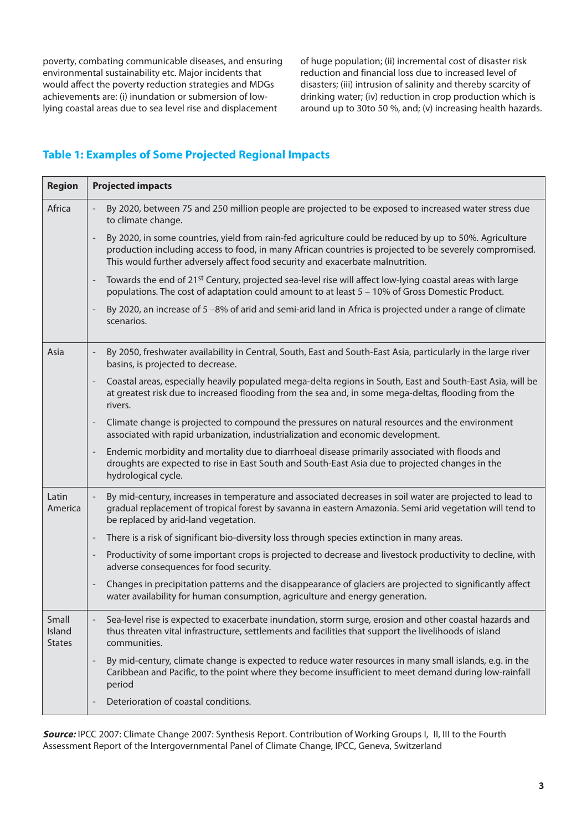poverty, combating communicable diseases, and ensuring environmental sustainability etc. Major incidents that would affect the poverty reduction strategies and MDGs achievements are: (i) inundation or submersion of lowlying coastal areas due to sea level rise and displacement

of huge population; (ii) incremental cost of disaster risk reduction and financial loss due to increased level of disasters; (iii) intrusion of salinity and thereby scarcity of drinking water; (iv) reduction in crop production which is around up to 30to 50 %, and; (v) increasing health hazards.

#### **Table 1: Examples of Some Projected Regional Impacts**

| <b>Projected impacts</b>                                                                                                                                                                                                                                                                                                        |
|---------------------------------------------------------------------------------------------------------------------------------------------------------------------------------------------------------------------------------------------------------------------------------------------------------------------------------|
| By 2020, between 75 and 250 million people are projected to be exposed to increased water stress due<br>to climate change.                                                                                                                                                                                                      |
| By 2020, in some countries, yield from rain-fed agriculture could be reduced by up to 50%. Agriculture<br>$\overline{\phantom{a}}$<br>production including access to food, in many African countries is projected to be severely compromised.<br>This would further adversely affect food security and exacerbate malnutrition. |
| Towards the end of 21 <sup>st</sup> Century, projected sea-level rise will affect low-lying coastal areas with large<br>$\overline{\phantom{a}}$<br>populations. The cost of adaptation could amount to at least 5 - 10% of Gross Domestic Product.                                                                             |
| By 2020, an increase of 5 -8% of arid and semi-arid land in Africa is projected under a range of climate<br>scenarios.                                                                                                                                                                                                          |
| By 2050, freshwater availability in Central, South, East and South-East Asia, particularly in the large river<br>$\overline{\phantom{a}}$<br>basins, is projected to decrease.                                                                                                                                                  |
| Coastal areas, especially heavily populated mega-delta regions in South, East and South-East Asia, will be<br>$\overline{\phantom{a}}$<br>at greatest risk due to increased flooding from the sea and, in some mega-deltas, flooding from the<br>rivers.                                                                        |
| Climate change is projected to compound the pressures on natural resources and the environment<br>$\overline{\phantom{a}}$<br>associated with rapid urbanization, industrialization and economic development.                                                                                                                   |
| Endemic morbidity and mortality due to diarrhoeal disease primarily associated with floods and<br>$\overline{\phantom{a}}$<br>droughts are expected to rise in East South and South-East Asia due to projected changes in the<br>hydrological cycle.                                                                            |
| By mid-century, increases in temperature and associated decreases in soil water are projected to lead to<br>gradual replacement of tropical forest by savanna in eastern Amazonia. Semi arid vegetation will tend to<br>be replaced by arid-land vegetation.                                                                    |
| There is a risk of significant bio-diversity loss through species extinction in many areas.<br>$\overline{\phantom{a}}$                                                                                                                                                                                                         |
| Productivity of some important crops is projected to decrease and livestock productivity to decline, with<br>$\overline{\phantom{a}}$<br>adverse consequences for food security.                                                                                                                                                |
| Changes in precipitation patterns and the disappearance of glaciers are projected to significantly affect<br>$\overline{\phantom{a}}$<br>water availability for human consumption, agriculture and energy generation.                                                                                                           |
| Sea-level rise is expected to exacerbate inundation, storm surge, erosion and other coastal hazards and<br>thus threaten vital infrastructure, settlements and facilities that support the livelihoods of island<br>communities.                                                                                                |
| By mid-century, climate change is expected to reduce water resources in many small islands, e.g. in the<br>$\overline{\phantom{a}}$<br>Caribbean and Pacific, to the point where they become insufficient to meet demand during low-rainfall<br>period                                                                          |
| Deterioration of coastal conditions.                                                                                                                                                                                                                                                                                            |
|                                                                                                                                                                                                                                                                                                                                 |

**Source:** IPCC 2007: Climate Change 2007: Synthesis Report. Contribution of Working Groups I, II, III to the Fourth Assessment Report of the Intergovernmental Panel of Climate Change, IPCC, Geneva, Switzerland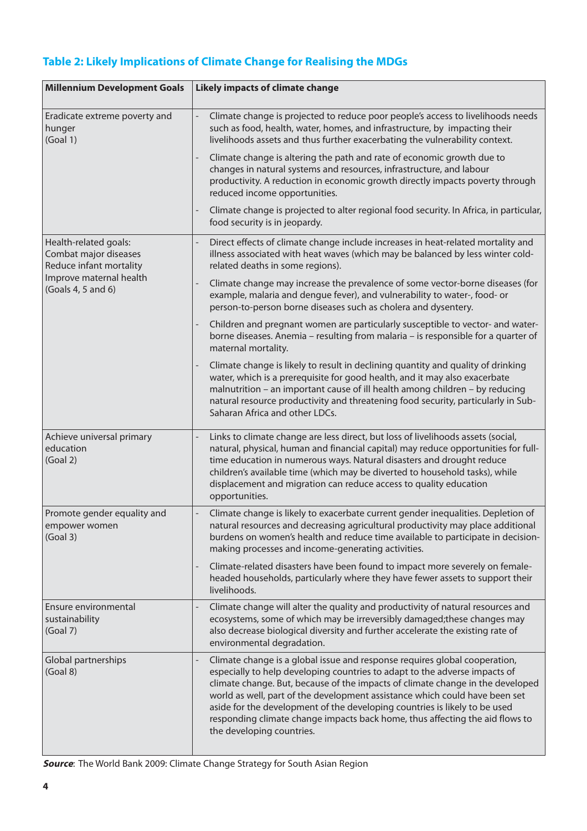#### **Table 2: Likely Implications of Climate Change for Realising the MDGs**

| <b>Millennium Development Goals</b>                                                                                        | <b>Likely impacts of climate change</b>                                                                                                                                                                                                                                                                                                                                                                                                                                                                              |
|----------------------------------------------------------------------------------------------------------------------------|----------------------------------------------------------------------------------------------------------------------------------------------------------------------------------------------------------------------------------------------------------------------------------------------------------------------------------------------------------------------------------------------------------------------------------------------------------------------------------------------------------------------|
| Eradicate extreme poverty and<br>hunger<br>(Goal 1)                                                                        | Climate change is projected to reduce poor people's access to livelihoods needs<br>such as food, health, water, homes, and infrastructure, by impacting their<br>livelihoods assets and thus further exacerbating the vulnerability context.                                                                                                                                                                                                                                                                         |
|                                                                                                                            | Climate change is altering the path and rate of economic growth due to<br>changes in natural systems and resources, infrastructure, and labour<br>productivity. A reduction in economic growth directly impacts poverty through<br>reduced income opportunities.                                                                                                                                                                                                                                                     |
|                                                                                                                            | Climate change is projected to alter regional food security. In Africa, in particular,<br>food security is in jeopardy.                                                                                                                                                                                                                                                                                                                                                                                              |
| Health-related goals:<br>Combat major diseases<br>Reduce infant mortality<br>Improve maternal health<br>(Goals 4, 5 and 6) | Direct effects of climate change include increases in heat-related mortality and<br>illness associated with heat waves (which may be balanced by less winter cold-<br>related deaths in some regions).                                                                                                                                                                                                                                                                                                               |
|                                                                                                                            | Climate change may increase the prevalence of some vector-borne diseases (for<br>example, malaria and dengue fever), and vulnerability to water-, food- or<br>person-to-person borne diseases such as cholera and dysentery.                                                                                                                                                                                                                                                                                         |
|                                                                                                                            | Children and pregnant women are particularly susceptible to vector- and water-<br>borne diseases. Anemia - resulting from malaria - is responsible for a quarter of<br>maternal mortality.                                                                                                                                                                                                                                                                                                                           |
|                                                                                                                            | Climate change is likely to result in declining quantity and quality of drinking<br>water, which is a prerequisite for good health, and it may also exacerbate<br>malnutrition - an important cause of ill health among children - by reducing<br>natural resource productivity and threatening food security, particularly in Sub-<br>Saharan Africa and other LDCs.                                                                                                                                                |
| Achieve universal primary<br>education<br>(Goal 2)                                                                         | Links to climate change are less direct, but loss of livelihoods assets (social,<br>natural, physical, human and financial capital) may reduce opportunities for full-<br>time education in numerous ways. Natural disasters and drought reduce<br>children's available time (which may be diverted to household tasks), while<br>displacement and migration can reduce access to quality education<br>opportunities.                                                                                                |
| Promote gender equality and<br>empower women<br>(Goal 3)                                                                   | Climate change is likely to exacerbate current gender inequalities. Depletion of<br>natural resources and decreasing agricultural productivity may place additional<br>burdens on women's health and reduce time available to participate in decision-<br>making processes and income-generating activities.                                                                                                                                                                                                         |
|                                                                                                                            | Climate-related disasters have been found to impact more severely on female-<br>headed households, particularly where they have fewer assets to support their<br>livelihoods.                                                                                                                                                                                                                                                                                                                                        |
| Ensure environmental<br>sustainability<br>(Goal 7)                                                                         | Climate change will alter the quality and productivity of natural resources and<br>ecosystems, some of which may be irreversibly damaged; these changes may<br>also decrease biological diversity and further accelerate the existing rate of<br>environmental degradation.                                                                                                                                                                                                                                          |
| Global partnerships<br>(Goal 8)                                                                                            | Climate change is a global issue and response requires global cooperation,<br>especially to help developing countries to adapt to the adverse impacts of<br>climate change. But, because of the impacts of climate change in the developed<br>world as well, part of the development assistance which could have been set<br>aside for the development of the developing countries is likely to be used<br>responding climate change impacts back home, thus affecting the aid flows to<br>the developing countries. |

**Source**: The World Bank 2009: Climate Change Strategy for South Asian Region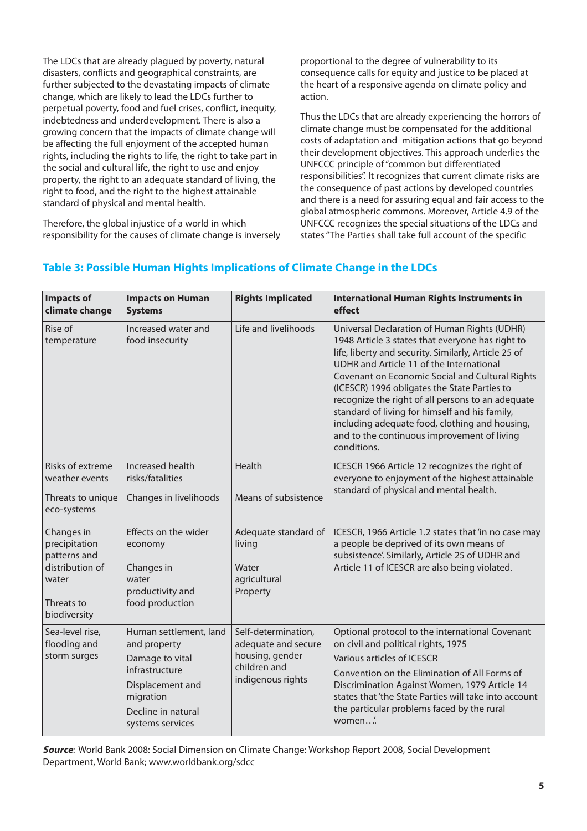The LDCs that are already plagued by poverty, natural disasters, conflicts and geographical constraints, are further subjected to the devastating impacts of climate change, which are likely to lead the LDCs further to perpetual poverty, food and fuel crises, conflict, inequity, indebtedness and underdevelopment. There is also a growing concern that the impacts of climate change will be affecting the full enjoyment of the accepted human rights, including the rights to life, the right to take part in the social and cultural life, the right to use and enjoy property, the right to an adequate standard of living, the right to food, and the right to the highest attainable standard of physical and mental health.

Therefore, the global injustice of a world in which responsibility for the causes of climate change is inversely

proportional to the degree of vulnerability to its consequence calls for equity and justice to be placed at the heart of a responsive agenda on climate policy and action.

Thus the LDCs that are already experiencing the horrors of climate change must be compensated for the additional costs of adaptation and mitigation actions that go beyond their development objectives. This approach underlies the UNFCCC principle of "common but differentiated responsibilities". It recognizes that current climate risks are the consequence of past actions by developed countries and there is a need for assuring equal and fair access to the global atmospheric commons. Moreover, Article 4.9 of the UNFCCC recognizes the special situations of the LDCs and states "The Parties shall take full account of the specific

| <b>Impacts of</b><br>climate change                                                                   | <b>Impacts on Human</b><br><b>Systems</b>                                                                                                              | <b>Rights Implicated</b>                                                                           | <b>International Human Rights Instruments in</b><br>effect                                                                                                                                                                                                                                                                                                                                                                                                                                                                     |
|-------------------------------------------------------------------------------------------------------|--------------------------------------------------------------------------------------------------------------------------------------------------------|----------------------------------------------------------------------------------------------------|--------------------------------------------------------------------------------------------------------------------------------------------------------------------------------------------------------------------------------------------------------------------------------------------------------------------------------------------------------------------------------------------------------------------------------------------------------------------------------------------------------------------------------|
| Rise of<br>temperature                                                                                | Increased water and<br>food insecurity                                                                                                                 | Life and livelihoods                                                                               | Universal Declaration of Human Rights (UDHR)<br>1948 Article 3 states that everyone has right to<br>life, liberty and security. Similarly, Article 25 of<br>UDHR and Article 11 of the International<br>Covenant on Economic Social and Cultural Rights<br>(ICESCR) 1996 obligates the State Parties to<br>recognize the right of all persons to an adequate<br>standard of living for himself and his family,<br>including adequate food, clothing and housing,<br>and to the continuous improvement of living<br>conditions. |
| Risks of extreme<br>weather events                                                                    | Increased health<br>risks/fatalities                                                                                                                   | Health                                                                                             | ICESCR 1966 Article 12 recognizes the right of<br>everyone to enjoyment of the highest attainable<br>standard of physical and mental health.                                                                                                                                                                                                                                                                                                                                                                                   |
| Threats to unique<br>eco-systems                                                                      | Changes in livelihoods                                                                                                                                 | Means of subsistence                                                                               |                                                                                                                                                                                                                                                                                                                                                                                                                                                                                                                                |
| Changes in<br>precipitation<br>patterns and<br>distribution of<br>water<br>Threats to<br>biodiversity | Effects on the wider<br>economy<br>Changes in<br>water<br>productivity and<br>food production                                                          | Adequate standard of<br>living<br>Water<br>agricultural<br>Property                                | ICESCR, 1966 Article 1.2 states that 'in no case may<br>a people be deprived of its own means of<br>subsistence'. Similarly, Article 25 of UDHR and<br>Article 11 of ICESCR are also being violated.                                                                                                                                                                                                                                                                                                                           |
| Sea-level rise,<br>flooding and<br>storm surges                                                       | Human settlement, land<br>and property<br>Damage to vital<br>infrastructure<br>Displacement and<br>migration<br>Decline in natural<br>systems services | Self-determination,<br>adequate and secure<br>housing, gender<br>children and<br>indigenous rights | Optional protocol to the international Covenant<br>on civil and political rights, 1975<br>Various articles of ICESCR<br>Convention on the Elimination of All Forms of<br>Discrimination Against Women, 1979 Article 14<br>states that 'the State Parties will take into account<br>the particular problems faced by the rural<br>women                                                                                                                                                                                         |

#### **Table 3: Possible Human Hights Implications of Climate Change in the LDCs**

**Source**: World Bank 2008: Social Dimension on Climate Change: Workshop Report 2008, Social Development Department, World Bank; www.worldbank.org/sdcc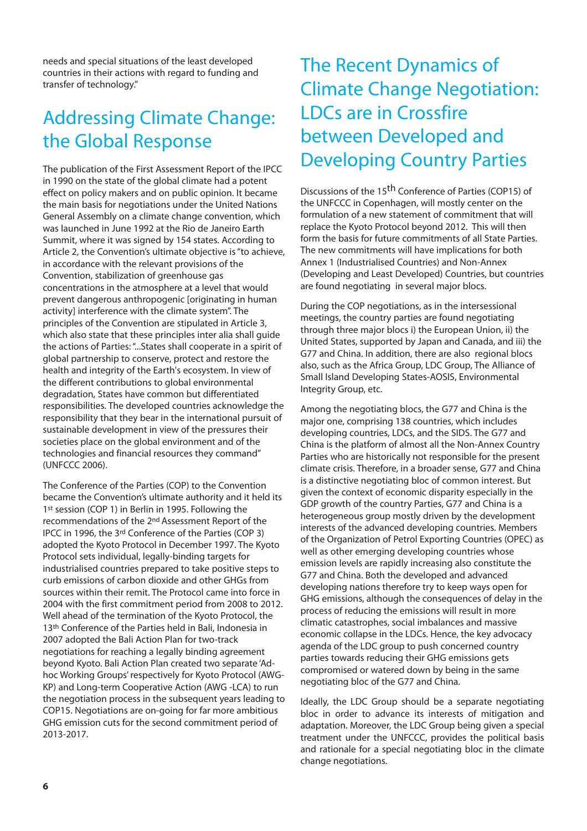needs and special situations of the least developed countries in their actions with regard to funding and transfer of technology."

### Addressing Climate Change: the Global Response

The publication of the First Assessment Report of the IPCC in 1990 on the state of the global climate had a potent effect on policy makers and on public opinion. It became the main basis for negotiations under the United Nations General Assembly on a climate change convention, which was launched in June 1992 at the Rio de Janeiro Earth Summit, where it was signed by 154 states. According to Article 2, the Convention's ultimate objective is "to achieve, in accordance with the relevant provisions of the Convention, stabilization of greenhouse gas concentrations in the atmosphere at a level that would prevent dangerous anthropogenic [originating in human activity] interference with the climate system". The principles of the Convention are stipulated in Article 3, which also state that these principles inter alia shall guide the actions of Parties: "...States shall cooperate in a spirit of global partnership to conserve, protect and restore the health and integrity of the Earth's ecosystem. In view of the different contributions to global environmental degradation, States have common but differentiated responsibilities. The developed countries acknowledge the responsibility that they bear in the international pursuit of sustainable development in view of the pressures their societies place on the global environment and of the technologies and financial resources they command" (UNFCCC 2006).

The Conference of the Parties (COP) to the Convention became the Convention's ultimate authority and it held its 1<sup>st</sup> session (COP 1) in Berlin in 1995. Following the recommendations of the 2nd Assessment Report of the IPCC in 1996, the 3rd Conference of the Parties (COP 3) adopted the Kyoto Protocol in December 1997. The Kyoto Protocol sets individual, legally-binding targets for industrialised countries prepared to take positive steps to curb emissions of carbon dioxide and other GHGs from sources within their remit. The Protocol came into force in 2004 with the first commitment period from 2008 to 2012. Well ahead of the termination of the Kyoto Protocol, the 13<sup>th</sup> Conference of the Parties held in Bali, Indonesia in 2007 adopted the Bali Action Plan for two-track negotiations for reaching a legally binding agreement beyond Kyoto. Bali Action Plan created two separate 'Adhoc Working Groups' respectively for Kyoto Protocol (AWG-KP) and Long-term Cooperative Action (AWG -LCA) to run the negotiation process in the subsequent years leading to COP15. Negotiations are on-going for far more ambitious GHG emission cuts for the second commitment period of 2013-2017.

### The Recent Dynamics of Climate Change Negotiation: LDCs are in Crossfire between Developed and Developing Country Parties

Discussions of the 15th Conference of Parties (COP15) of the UNFCCC in Copenhagen, will mostly center on the formulation of a new statement of commitment that will replace the Kyoto Protocol beyond 2012. This will then form the basis for future commitments of all State Parties. The new commitments will have implications for both Annex 1 (Industrialised Countries) and Non-Annex (Developing and Least Developed) Countries, but countries are found negotiating in several major blocs.

During the COP negotiations, as in the intersessional meetings, the country parties are found negotiating through three major blocs i) the European Union, ii) the United States, supported by Japan and Canada, and iii) the G77 and China. In addition, there are also regional blocs also, such as the Africa Group, LDC Group, The Alliance of Small Island Developing States-AOSIS, Environmental Integrity Group, etc.

Among the negotiating blocs, the G77 and China is the major one, comprising 138 countries, which includes developing countries, LDCs, and the SIDS. The G77 and China is the platform of almost all the Non-Annex Country Parties who are historically not responsible for the present climate crisis. Therefore, in a broader sense, G77 and China is a distinctive negotiating bloc of common interest. But given the context of economic disparity especially in the GDP growth of the country Parties, G77 and China is a heterogeneous group mostly driven by the development interests of the advanced developing countries. Members of the Organization of Petrol Exporting Countries (OPEC) as well as other emerging developing countries whose emission levels are rapidly increasing also constitute the G77 and China. Both the developed and advanced developing nations therefore try to keep ways open for GHG emissions, although the consequences of delay in the process of reducing the emissions will result in more climatic catastrophes, social imbalances and massive economic collapse in the LDCs. Hence, the key advocacy agenda of the LDC group to push concerned country parties towards reducing their GHG emissions gets compromised or watered down by being in the same negotiating bloc of the G77 and China.

Ideally, the LDC Group should be a separate negotiating bloc in order to advance its interests of mitigation and adaptation. Moreover, the LDC Group being given a special treatment under the UNFCCC, provides the political basis and rationale for a special negotiating bloc in the climate change negotiations.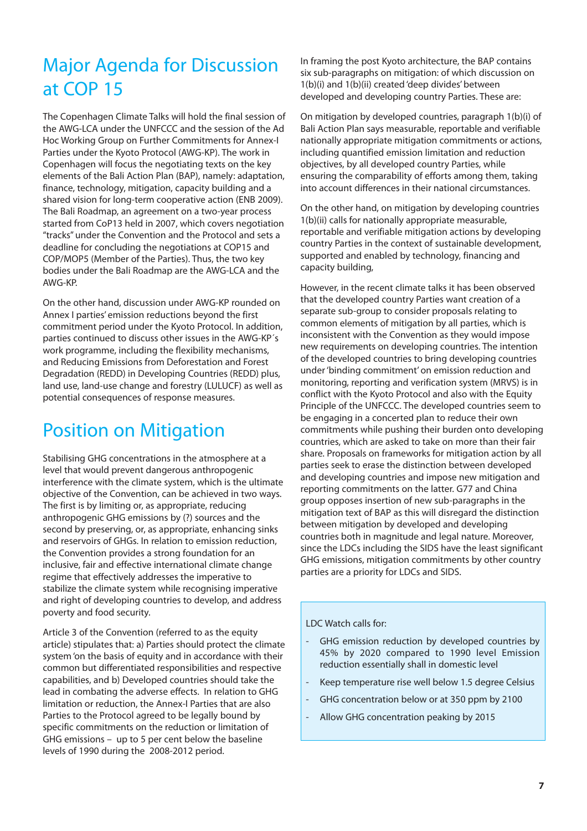### Major Agenda for Discussion at COP 15

The Copenhagen Climate Talks will hold the final session of the AWG-LCA under the UNFCCC and the session of the Ad Hoc Working Group on Further Commitments for Annex-I Parties under the Kyoto Protocol (AWG-KP). The work in Copenhagen will focus the negotiating texts on the key elements of the Bali Action Plan (BAP), namely: adaptation, finance, technology, mitigation, capacity building and a shared vision for long-term cooperative action (ENB 2009). The Bali Roadmap, an agreement on a two-year process started from CoP13 held in 2007, which covers negotiation "tracks" under the Convention and the Protocol and sets a deadline for concluding the negotiations at COP15 and COP/MOP5 (Member of the Parties). Thus, the two key bodies under the Bali Roadmap are the AWG-LCA and the AWG-KP.

On the other hand, discussion under AWG-KP rounded on Annex I parties' emission reductions beyond the first commitment period under the Kyoto Protocol. In addition, parties continued to discuss other issues in the AWG-KP´s work programme, including the flexibility mechanisms, and Reducing Emissions from Deforestation and Forest Degradation (REDD) in Developing Countries (REDD) plus, land use, land-use change and forestry (LULUCF) as well as potential consequences of response measures.

#### Position on Mitigation

Stabilising GHG concentrations in the atmosphere at a level that would prevent dangerous anthropogenic interference with the climate system, which is the ultimate objective of the Convention, can be achieved in two ways. The first is by limiting or, as appropriate, reducing anthropogenic GHG emissions by (?) sources and the second by preserving, or, as appropriate, enhancing sinks and reservoirs of GHGs. In relation to emission reduction, the Convention provides a strong foundation for an inclusive, fair and effective international climate change regime that effectively addresses the imperative to stabilize the climate system while recognising imperative and right of developing countries to develop, and address poverty and food security.

Article 3 of the Convention (referred to as the equity article) stipulates that: a) Parties should protect the climate system 'on the basis of equity and in accordance with their common but differentiated responsibilities and respective capabilities, and b) Developed countries should take the lead in combating the adverse effects. In relation to GHG limitation or reduction, the Annex-I Parties that are also Parties to the Protocol agreed to be legally bound by specific commitments on the reduction or limitation of GHG emissions – up to 5 per cent below the baseline levels of 1990 during the 2008-2012 period.

In framing the post Kyoto architecture, the BAP contains six sub-paragraphs on mitigation: of which discussion on 1(b)(i) and 1(b)(ii) created 'deep divides' between developed and developing country Parties. These are:

On mitigation by developed countries, paragraph 1(b)(i) of Bali Action Plan says measurable, reportable and verifiable nationally appropriate mitigation commitments or actions, including quantified emission limitation and reduction objectives, by all developed country Parties, while ensuring the comparability of efforts among them, taking into account differences in their national circumstances.

On the other hand, on mitigation by developing countries 1(b)(ii) calls for nationally appropriate measurable, reportable and verifiable mitigation actions by developing country Parties in the context of sustainable development, supported and enabled by technology, financing and capacity building,

However, in the recent climate talks it has been observed that the developed country Parties want creation of a separate sub-group to consider proposals relating to common elements of mitigation by all parties, which is inconsistent with the Convention as they would impose new requirements on developing countries. The intention of the developed countries to bring developing countries under 'binding commitment' on emission reduction and monitoring, reporting and verification system (MRVS) is in conflict with the Kyoto Protocol and also with the Equity Principle of the UNFCCC. The developed countries seem to be engaging in a concerted plan to reduce their own commitments while pushing their burden onto developing countries, which are asked to take on more than their fair share. Proposals on frameworks for mitigation action by all parties seek to erase the distinction between developed and developing countries and impose new mitigation and reporting commitments on the latter. G77 and China group opposes insertion of new sub-paragraphs in the mitigation text of BAP as this will disregard the distinction between mitigation by developed and developing countries both in magnitude and legal nature. Moreover, since the LDCs including the SIDS have the least significant GHG emissions, mitigation commitments by other country parties are a priority for LDCs and SIDS.

LDC Watch calls for:

- GHG emission reduction by developed countries by 45% by 2020 compared to 1990 level Emission reduction essentially shall in domestic level
- Keep temperature rise well below 1.5 degree Celsius
- GHG concentration below or at 350 ppm by 2100
- Allow GHG concentration peaking by 2015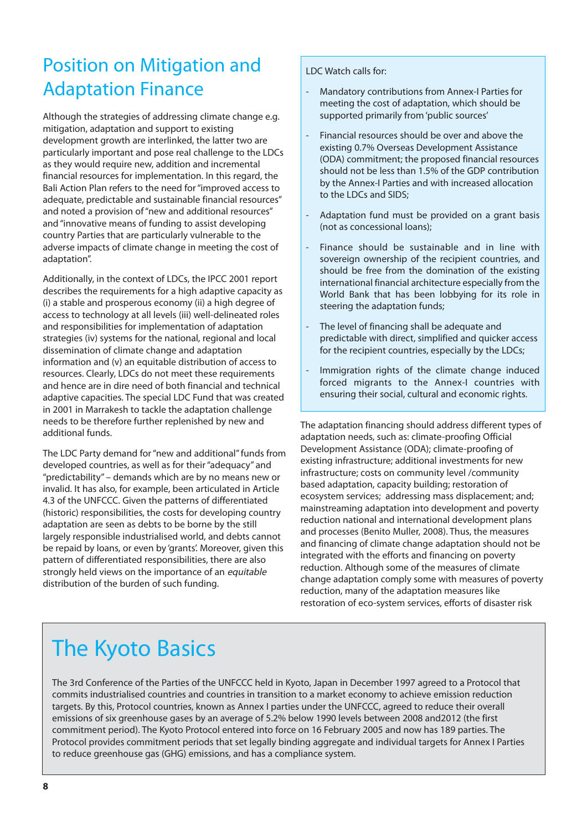### Position on Mitigation and Adaptation Finance

Although the strategies of addressing climate change e.g. mitigation, adaptation and support to existing development growth are interlinked, the latter two are particularly important and pose real challenge to the LDCs as they would require new, addition and incremental financial resources for implementation. In this regard, the Bali Action Plan refers to the need for "improved access to adequate, predictable and sustainable financial resources" and noted a provision of "new and additional resources" and "innovative means of funding to assist developing country Parties that are particularly vulnerable to the adverse impacts of climate change in meeting the cost of adaptation".

Additionally, in the context of LDCs, the IPCC 2001 report describes the requirements for a high adaptive capacity as (i) a stable and prosperous economy (ii) a high degree of access to technology at all levels (iii) well-delineated roles and responsibilities for implementation of adaptation strategies (iv) systems for the national, regional and local dissemination of climate change and adaptation information and (v) an equitable distribution of access to resources. Clearly, LDCs do not meet these requirements and hence are in dire need of both financial and technical adaptive capacities. The special LDC Fund that was created in 2001 in Marrakesh to tackle the adaptation challenge needs to be therefore further replenished by new and additional funds.

The LDC Party demand for "new and additional" funds from developed countries, as well as for their "adequacy" and "predictability" – demands which are by no means new or invalid. It has also, for example, been articulated in Article 4.3 of the UNFCCC. Given the patterns of differentiated (historic) responsibilities, the costs for developing country adaptation are seen as debts to be borne by the still largely responsible industrialised world, and debts cannot be repaid by loans, or even by 'grants'. Moreover, given this pattern of differentiated responsibilities, there are also strongly held views on the importance of an equitable distribution of the burden of such funding.

LDC Watch calls for:

- Mandatory contributions from Annex-I Parties for meeting the cost of adaptation, which should be supported primarily from 'public sources'
- Financial resources should be over and above the existing 0.7% Overseas Development Assistance (ODA) commitment; the proposed financial resources should not be less than 1.5% of the GDP contribution by the Annex-I Parties and with increased allocation to the LDCs and SIDS;
- Adaptation fund must be provided on a grant basis (not as concessional loans);
- Finance should be sustainable and in line with sovereign ownership of the recipient countries, and should be free from the domination of the existing international financial architecture especially from the World Bank that has been lobbying for its role in steering the adaptation funds;
- The level of financing shall be adequate and predictable with direct, simplified and quicker access for the recipient countries, especially by the LDCs;
- Immigration rights of the climate change induced forced migrants to the Annex-I countries with ensuring their social, cultural and economic rights.

The adaptation financing should address different types of adaptation needs, such as: climate-proofing Official Development Assistance (ODA); climate-proofing of existing infrastructure; additional investments for new infrastructure; costs on community level /community based adaptation, capacity building; restoration of ecosystem services; addressing mass displacement; and; mainstreaming adaptation into development and poverty reduction national and international development plans and processes (Benito Muller, 2008). Thus, the measures and financing of climate change adaptation should not be integrated with the efforts and financing on poverty reduction. Although some of the measures of climate change adaptation comply some with measures of poverty reduction, many of the adaptation measures like restoration of eco-system services, efforts of disaster risk

# The Kyoto Basics

The 3rd Conference of the Parties of the UNFCCC held in Kyoto, Japan in December 1997 agreed to a Protocol that commits industrialised countries and countries in transition to a market economy to achieve emission reduction targets. By this, Protocol countries, known as Annex I parties under the UNFCCC, agreed to reduce their overall emissions of six greenhouse gases by an average of 5.2% below 1990 levels between 2008 and2012 (the first commitment period). The Kyoto Protocol entered into force on 16 February 2005 and now has 189 parties. The Protocol provides commitment periods that set legally binding aggregate and individual targets for Annex I Parties to reduce greenhouse gas (GHG) emissions, and has a compliance system.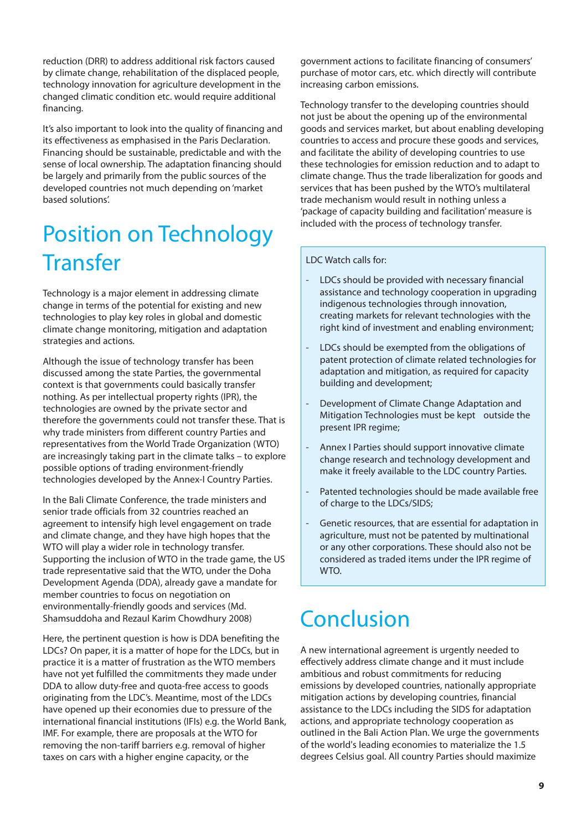reduction (DRR) to address additional risk factors caused by climate change, rehabilitation of the displaced people, technology innovation for agriculture development in the changed climatic condition etc. would require additional financing.

It's also important to look into the quality of financing and its effectiveness as emphasised in the Paris Declaration. Financing should be sustainable, predictable and with the sense of local ownership. The adaptation financing should be largely and primarily from the public sources of the developed countries not much depending on 'market based solutions'.

## Position on Technology **Transfer**

Technology is a major element in addressing climate change in terms of the potential for existing and new technologies to play key roles in global and domestic climate change monitoring, mitigation and adaptation strategies and actions.

Although the issue of technology transfer has been discussed among the state Parties, the governmental context is that governments could basically transfer nothing. As per intellectual property rights (IPR), the technologies are owned by the private sector and therefore the governments could not transfer these. That is why trade ministers from different country Parties and representatives from the World Trade Organization (WTO) are increasingly taking part in the climate talks – to explore possible options of trading environment-friendly technologies developed by the Annex-I Country Parties.

In the Bali Climate Conference, the trade ministers and senior trade officials from 32 countries reached an agreement to intensify high level engagement on trade and climate change, and they have high hopes that the WTO will play a wider role in technology transfer. Supporting the inclusion of WTO in the trade game, the US trade representative said that the WTO, under the Doha Development Agenda (DDA), already gave a mandate for member countries to focus on negotiation on environmentally-friendly goods and services (Md. Shamsuddoha and Rezaul Karim Chowdhury 2008)

Here, the pertinent question is how is DDA benefiting the LDCs? On paper, it is a matter of hope for the LDCs, but in practice it is a matter of frustration as the WTO members have not yet fulfilled the commitments they made under DDA to allow duty-free and quota-free access to goods originating from the LDC's. Meantime, most of the LDCs have opened up their economies due to pressure of the international financial institutions (IFIs) e.g. the World Bank, IMF. For example, there are proposals at the WTO for removing the non-tariff barriers e.g. removal of higher taxes on cars with a higher engine capacity, or the

government actions to facilitate financing of consumers' purchase of motor cars, etc. which directly will contribute increasing carbon emissions.

Technology transfer to the developing countries should not just be about the opening up of the environmental goods and services market, but about enabling developing countries to access and procure these goods and services, and facilitate the ability of developing countries to use these technologies for emission reduction and to adapt to climate change. Thus the trade liberalization for goods and services that has been pushed by the WTO's multilateral trade mechanism would result in nothing unless a 'package of capacity building and facilitation' measure is included with the process of technology transfer.

#### LDC Watch calls for:

- LDCs should be provided with necessary financial assistance and technology cooperation in upgrading indigenous technologies through innovation, creating markets for relevant technologies with the right kind of investment and enabling environment;
- LDCs should be exempted from the obligations of patent protection of climate related technologies for adaptation and mitigation, as required for capacity building and development;
- Development of Climate Change Adaptation and Mitigation Technologies must be kept outside the present IPR regime;
- Annex I Parties should support innovative climate change research and technology development and make it freely available to the LDC country Parties.
- Patented technologies should be made available free of charge to the LDCs/SIDS;
- Genetic resources, that are essential for adaptation in agriculture, must not be patented by multinational or any other corporations. These should also not be considered as traded items under the IPR regime of WTO.

## **Conclusion**

A new international agreement is urgently needed to effectively address climate change and it must include ambitious and robust commitments for reducing emissions by developed countries, nationally appropriate mitigation actions by developing countries, financial assistance to the LDCs including the SIDS for adaptation actions, and appropriate technology cooperation as outlined in the Bali Action Plan. We urge the governments of the world's leading economies to materialize the 1.5 degrees Celsius goal. All country Parties should maximize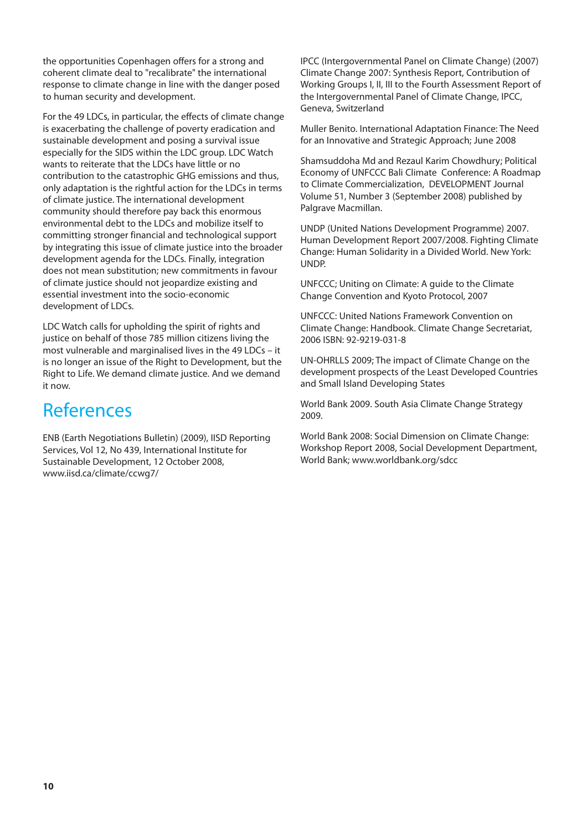the opportunities Copenhagen offers for a strong and coherent climate deal to "recalibrate" the international response to climate change in line with the danger posed to human security and development.

For the 49 LDCs, in particular, the effects of climate change is exacerbating the challenge of poverty eradication and sustainable development and posing a survival issue especially for the SIDS within the LDC group. LDC Watch wants to reiterate that the LDCs have little or no contribution to the catastrophic GHG emissions and thus, only adaptation is the rightful action for the LDCs in terms of climate justice. The international development community should therefore pay back this enormous environmental debt to the LDCs and mobilize itself to committing stronger financial and technological support by integrating this issue of climate justice into the broader development agenda for the LDCs. Finally, integration does not mean substitution; new commitments in favour of climate justice should not jeopardize existing and essential investment into the socio-economic development of LDCs.

LDC Watch calls for upholding the spirit of rights and justice on behalf of those 785 million citizens living the most vulnerable and marginalised lives in the 49 LDCs – it is no longer an issue of the Right to Development, but the Right to Life. We demand climate justice. And we demand it now.

#### References

ENB (Earth Negotiations Bulletin) (2009), IISD Reporting Services, Vol 12, No 439, International Institute for Sustainable Development, 12 October 2008, www.iisd.ca/climate/ccwg7/

IPCC (Intergovernmental Panel on Climate Change) (2007) Climate Change 2007: Synthesis Report, Contribution of Working Groups I, II, III to the Fourth Assessment Report of the Intergovernmental Panel of Climate Change, IPCC, Geneva, Switzerland

Muller Benito. International Adaptation Finance: The Need for an Innovative and Strategic Approach; June 2008

Shamsuddoha Md and Rezaul Karim Chowdhury; Political Economy of UNFCCC Bali Climate Conference: A Roadmap to Climate Commercialization, DEVELOPMENT Journal Volume 51, Number 3 (September 2008) published by Palgrave Macmillan.

UNDP (United Nations Development Programme) 2007. Human Development Report 2007/2008. Fighting Climate Change: Human Solidarity in a Divided World. New York: UNDP.

UNFCCC; Uniting on Climate: A guide to the Climate Change Convention and Kyoto Protocol, 2007

UNFCCC: United Nations Framework Convention on Climate Change: Handbook. Climate Change Secretariat, 2006 ISBN: 92-9219-031-8

UN-OHRLLS 2009; The impact of Climate Change on the development prospects of the Least Developed Countries and Small Island Developing States

World Bank 2009. South Asia Climate Change Strategy 2009.

World Bank 2008: Social Dimension on Climate Change: Workshop Report 2008, Social Development Department, World Bank; www.worldbank.org/sdcc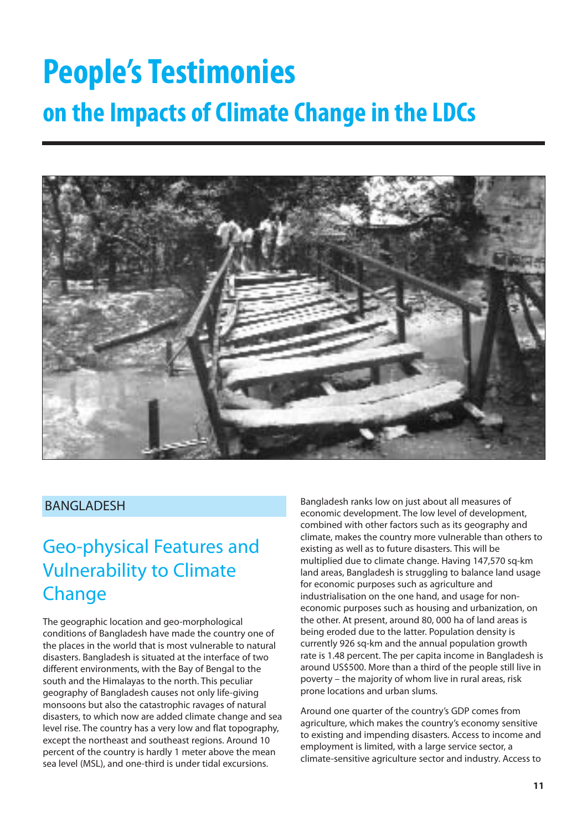# **People's Testimonies on the Impacts of Climate Change in the LDCs**



#### **BANGLADESH**

#### Geo-physical Features and Vulnerability to Climate **Change**

The geographic location and geo-morphological conditions of Bangladesh have made the country one of the places in the world that is most vulnerable to natural disasters. Bangladesh is situated at the interface of two different environments, with the Bay of Bengal to the south and the Himalayas to the north. This peculiar geography of Bangladesh causes not only life-giving monsoons but also the catastrophic ravages of natural disasters, to which now are added climate change and sea level rise. The country has a very low and flat topography, except the northeast and southeast regions. Around 10 percent of the country is hardly 1 meter above the mean sea level (MSL), and one-third is under tidal excursions.

Bangladesh ranks low on just about all measures of economic development. The low level of development, combined with other factors such as its geography and climate, makes the country more vulnerable than others to existing as well as to future disasters. This will be multiplied due to climate change. Having 147,570 sq-km land areas, Bangladesh is struggling to balance land usage for economic purposes such as agriculture and industrialisation on the one hand, and usage for noneconomic purposes such as housing and urbanization, on the other. At present, around 80, 000 ha of land areas is being eroded due to the latter. Population density is currently 926 sq-km and the annual population growth rate is 1.48 percent. The per capita income in Bangladesh is around US\$500. More than a third of the people still live in poverty – the majority of whom live in rural areas, risk prone locations and urban slums.

Around one quarter of the country's GDP comes from agriculture, which makes the country's economy sensitive to existing and impending disasters. Access to income and employment is limited, with a large service sector, a climate-sensitive agriculture sector and industry. Access to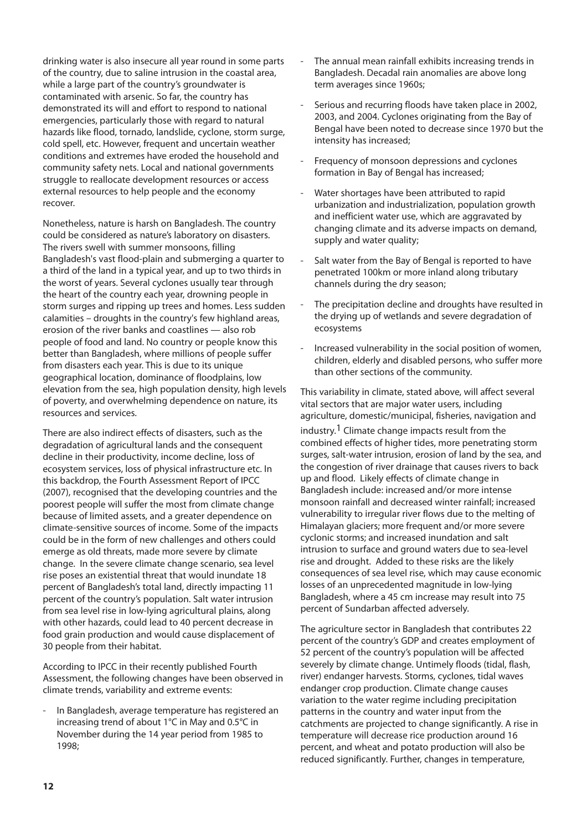drinking water is also insecure all year round in some parts of the country, due to saline intrusion in the coastal area, while a large part of the country's groundwater is contaminated with arsenic. So far, the country has demonstrated its will and effort to respond to national emergencies, particularly those with regard to natural hazards like flood, tornado, landslide, cyclone, storm surge, cold spell, etc. However, frequent and uncertain weather conditions and extremes have eroded the household and community safety nets. Local and national governments struggle to reallocate development resources or access external resources to help people and the economy recover.

Nonetheless, nature is harsh on Bangladesh. The country could be considered as nature's laboratory on disasters. The rivers swell with summer monsoons, filling Bangladesh's vast flood-plain and submerging a quarter to a third of the land in a typical year, and up to two thirds in the worst of years. Several cyclones usually tear through the heart of the country each year, drowning people in storm surges and ripping up trees and homes. Less sudden calamities – droughts in the country's few highland areas, erosion of the river banks and coastlines — also rob people of food and land. No country or people know this better than Bangladesh, where millions of people suffer from disasters each year. This is due to its unique geographical location, dominance of floodplains, low elevation from the sea, high population density, high levels of poverty, and overwhelming dependence on nature, its resources and services.

There are also indirect effects of disasters, such as the degradation of agricultural lands and the consequent decline in their productivity, income decline, loss of ecosystem services, loss of physical infrastructure etc. In this backdrop, the Fourth Assessment Report of IPCC (2007), recognised that the developing countries and the poorest people will suffer the most from climate change because of limited assets, and a greater dependence on climate-sensitive sources of income. Some of the impacts could be in the form of new challenges and others could emerge as old threats, made more severe by climate change. In the severe climate change scenario, sea level rise poses an existential threat that would inundate 18 percent of Bangladesh's total land, directly impacting 11 percent of the country's population. Salt water intrusion from sea level rise in low-lying agricultural plains, along with other hazards, could lead to 40 percent decrease in food grain production and would cause displacement of 30 people from their habitat.

According to IPCC in their recently published Fourth Assessment, the following changes have been observed in climate trends, variability and extreme events:

In Bangladesh, average temperature has registered an increasing trend of about 1°C in May and 0.5°C in November during the 14 year period from 1985 to 1998;

- The annual mean rainfall exhibits increasing trends in Bangladesh. Decadal rain anomalies are above long term averages since 1960s;
- Serious and recurring floods have taken place in 2002, 2003, and 2004. Cyclones originating from the Bay of Bengal have been noted to decrease since 1970 but the intensity has increased;
- Frequency of monsoon depressions and cyclones formation in Bay of Bengal has increased;
- Water shortages have been attributed to rapid urbanization and industrialization, population growth and inefficient water use, which are aggravated by changing climate and its adverse impacts on demand, supply and water quality;
- Salt water from the Bay of Bengal is reported to have penetrated 100km or more inland along tributary channels during the dry season;
- The precipitation decline and droughts have resulted in the drying up of wetlands and severe degradation of ecosystems
- Increased vulnerability in the social position of women, children, elderly and disabled persons, who suffer more than other sections of the community.

This variability in climate, stated above, will affect several vital sectors that are major water users, including agriculture, domestic/municipal, fisheries, navigation and industry.1 Climate change impacts result from the combined effects of higher tides, more penetrating storm surges, salt-water intrusion, erosion of land by the sea, and the congestion of river drainage that causes rivers to back up and flood. Likely effects of climate change in Bangladesh include: increased and/or more intense monsoon rainfall and decreased winter rainfall; increased vulnerability to irregular river flows due to the melting of Himalayan glaciers; more frequent and/or more severe cyclonic storms; and increased inundation and salt intrusion to surface and ground waters due to sea-level rise and drought. Added to these risks are the likely consequences of sea level rise, which may cause economic losses of an unprecedented magnitude in low-lying Bangladesh, where a 45 cm increase may result into 75 percent of Sundarban affected adversely.

The agriculture sector in Bangladesh that contributes 22 percent of the country's GDP and creates employment of 52 percent of the country's population will be affected severely by climate change. Untimely floods (tidal, flash, river) endanger harvests. Storms, cyclones, tidal waves endanger crop production. Climate change causes variation to the water regime including precipitation patterns in the country and water input from the catchments are projected to change significantly. A rise in temperature will decrease rice production around 16 percent, and wheat and potato production will also be reduced significantly. Further, changes in temperature,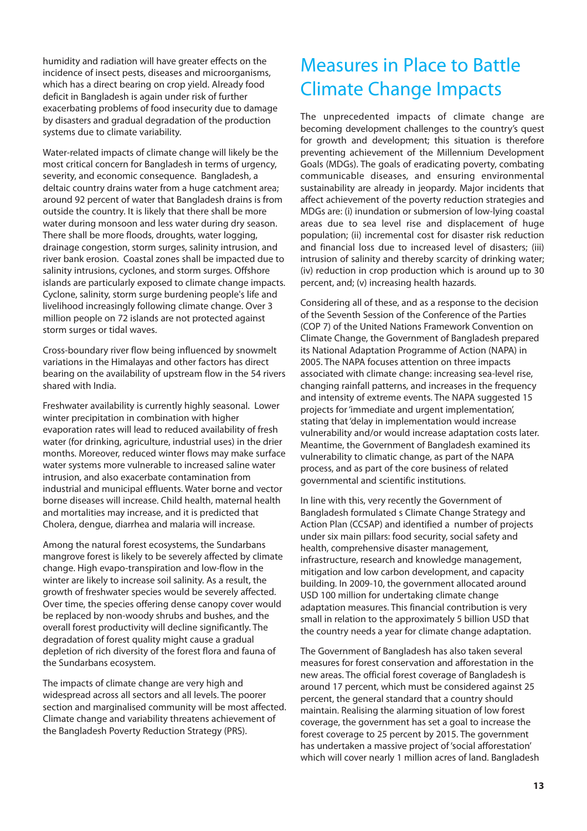humidity and radiation will have greater effects on the incidence of insect pests, diseases and microorganisms, which has a direct bearing on crop yield. Already food deficit in Bangladesh is again under risk of further exacerbating problems of food insecurity due to damage by disasters and gradual degradation of the production systems due to climate variability.

Water-related impacts of climate change will likely be the most critical concern for Bangladesh in terms of urgency, severity, and economic consequence. Bangladesh, a deltaic country drains water from a huge catchment area; around 92 percent of water that Bangladesh drains is from outside the country. It is likely that there shall be more water during monsoon and less water during dry season. There shall be more floods, droughts, water logging, drainage congestion, storm surges, salinity intrusion, and river bank erosion. Coastal zones shall be impacted due to salinity intrusions, cyclones, and storm surges. Offshore islands are particularly exposed to climate change impacts. Cyclone, salinity, storm surge burdening people's life and livelihood increasingly following climate change. Over 3 million people on 72 islands are not protected against storm surges or tidal waves.

Cross-boundary river flow being influenced by snowmelt variations in the Himalayas and other factors has direct bearing on the availability of upstream flow in the 54 rivers shared with India.

Freshwater availability is currently highly seasonal. Lower winter precipitation in combination with higher evaporation rates will lead to reduced availability of fresh water (for drinking, agriculture, industrial uses) in the drier months. Moreover, reduced winter flows may make surface water systems more vulnerable to increased saline water intrusion, and also exacerbate contamination from industrial and municipal effluents. Water borne and vector borne diseases will increase. Child health, maternal health and mortalities may increase, and it is predicted that Cholera, dengue, diarrhea and malaria will increase.

Among the natural forest ecosystems, the Sundarbans mangrove forest is likely to be severely affected by climate change. High evapo-transpiration and low-flow in the winter are likely to increase soil salinity. As a result, the growth of freshwater species would be severely affected. Over time, the species offering dense canopy cover would be replaced by non-woody shrubs and bushes, and the overall forest productivity will decline significantly. The degradation of forest quality might cause a gradual depletion of rich diversity of the forest flora and fauna of the Sundarbans ecosystem.

The impacts of climate change are very high and widespread across all sectors and all levels. The poorer section and marginalised community will be most affected. Climate change and variability threatens achievement of the Bangladesh Poverty Reduction Strategy (PRS).

#### Measures in Place to Battle Climate Change Impacts

The unprecedented impacts of climate change are becoming development challenges to the country's quest for growth and development; this situation is therefore preventing achievement of the Millennium Development Goals (MDGs). The goals of eradicating poverty, combating communicable diseases, and ensuring environmental sustainability are already in jeopardy. Major incidents that affect achievement of the poverty reduction strategies and MDGs are: (i) inundation or submersion of low-lying coastal areas due to sea level rise and displacement of huge population; (ii) incremental cost for disaster risk reduction and financial loss due to increased level of disasters; (iii) intrusion of salinity and thereby scarcity of drinking water; (iv) reduction in crop production which is around up to 30 percent, and; (v) increasing health hazards.

Considering all of these, and as a response to the decision of the Seventh Session of the Conference of the Parties (COP 7) of the United Nations Framework Convention on Climate Change, the Government of Bangladesh prepared its National Adaptation Programme of Action (NAPA) in 2005. The NAPA focuses attention on three impacts associated with climate change: increasing sea-level rise, changing rainfall patterns, and increases in the frequency and intensity of extreme events. The NAPA suggested 15 projects for 'immediate and urgent implementation', stating that 'delay in implementation would increase vulnerability and/or would increase adaptation costs later. Meantime, the Government of Bangladesh examined its vulnerability to climatic change, as part of the NAPA process, and as part of the core business of related governmental and scientific institutions.

In line with this, very recently the Government of Bangladesh formulated s Climate Change Strategy and Action Plan (CCSAP) and identified a number of projects under six main pillars: food security, social safety and health, comprehensive disaster management, infrastructure, research and knowledge management, mitigation and low carbon development, and capacity building. In 2009-10, the government allocated around USD 100 million for undertaking climate change adaptation measures. This financial contribution is very small in relation to the approximately 5 billion USD that the country needs a year for climate change adaptation.

The Government of Bangladesh has also taken several measures for forest conservation and afforestation in the new areas. The official forest coverage of Bangladesh is around 17 percent, which must be considered against 25 percent, the general standard that a country should maintain. Realising the alarming situation of low forest coverage, the government has set a goal to increase the forest coverage to 25 percent by 2015. The government has undertaken a massive project of 'social afforestation' which will cover nearly 1 million acres of land. Bangladesh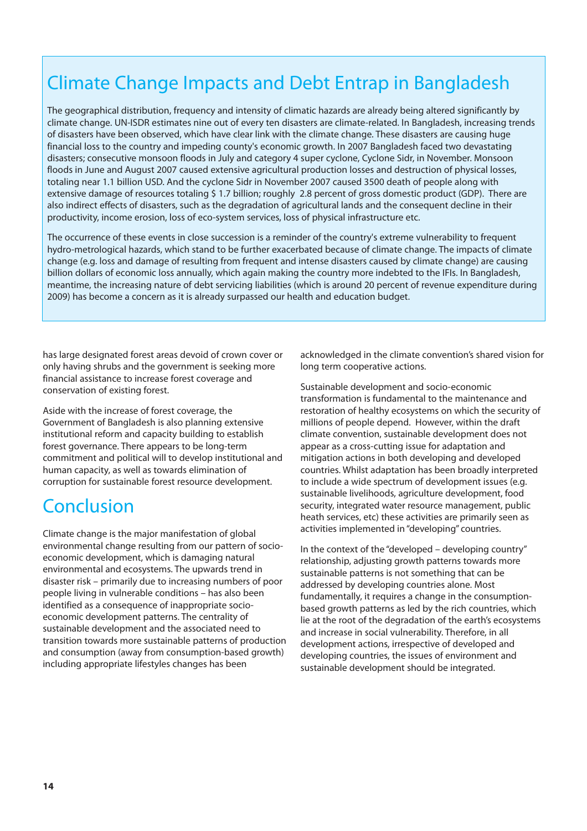### Climate Change Impacts and Debt Entrap in Bangladesh

The geographical distribution, frequency and intensity of climatic hazards are already being altered significantly by climate change. UN-ISDR estimates nine out of every ten disasters are climate-related. In Bangladesh, increasing trends of disasters have been observed, which have clear link with the climate change. These disasters are causing huge financial loss to the country and impeding county's economic growth. In 2007 Bangladesh faced two devastating disasters; consecutive monsoon floods in July and category 4 super cyclone, Cyclone Sidr, in November. Monsoon floods in June and August 2007 caused extensive agricultural production losses and destruction of physical losses, totaling near 1.1 billion USD. And the cyclone Sidr in November 2007 caused 3500 death of people along with extensive damage of resources totaling \$ 1.7 billion; roughly 2.8 percent of gross domestic product (GDP). There are also indirect effects of disasters, such as the degradation of agricultural lands and the consequent decline in their productivity, income erosion, loss of eco-system services, loss of physical infrastructure etc.

The occurrence of these events in close succession is a reminder of the country's extreme vulnerability to frequent hydro-metrological hazards, which stand to be further exacerbated because of climate change. The impacts of climate change (e.g. loss and damage of resulting from frequent and intense disasters caused by climate change) are causing billion dollars of economic loss annually, which again making the country more indebted to the IFIs. In Bangladesh, meantime, the increasing nature of debt servicing liabilities (which is around 20 percent of revenue expenditure during 2009) has become a concern as it is already surpassed our health and education budget.

has large designated forest areas devoid of crown cover or only having shrubs and the government is seeking more financial assistance to increase forest coverage and conservation of existing forest.

Aside with the increase of forest coverage, the Government of Bangladesh is also planning extensive institutional reform and capacity building to establish forest governance. There appears to be long-term commitment and political will to develop institutional and human capacity, as well as towards elimination of corruption for sustainable forest resource development.

#### Conclusion

Climate change is the major manifestation of global environmental change resulting from our pattern of socioeconomic development, which is damaging natural environmental and ecosystems. The upwards trend in disaster risk – primarily due to increasing numbers of poor people living in vulnerable conditions – has also been identified as a consequence of inappropriate socioeconomic development patterns. The centrality of sustainable development and the associated need to transition towards more sustainable patterns of production and consumption (away from consumption-based growth) including appropriate lifestyles changes has been

acknowledged in the climate convention's shared vision for long term cooperative actions.

Sustainable development and socio-economic transformation is fundamental to the maintenance and restoration of healthy ecosystems on which the security of millions of people depend. However, within the draft climate convention, sustainable development does not appear as a cross-cutting issue for adaptation and mitigation actions in both developing and developed countries. Whilst adaptation has been broadly interpreted to include a wide spectrum of development issues (e.g. sustainable livelihoods, agriculture development, food security, integrated water resource management, public heath services, etc) these activities are primarily seen as activities implemented in "developing" countries.

In the context of the "developed – developing country" relationship, adjusting growth patterns towards more sustainable patterns is not something that can be addressed by developing countries alone. Most fundamentally, it requires a change in the consumptionbased growth patterns as led by the rich countries, which lie at the root of the degradation of the earth's ecosystems and increase in social vulnerability. Therefore, in all development actions, irrespective of developed and developing countries, the issues of environment and sustainable development should be integrated.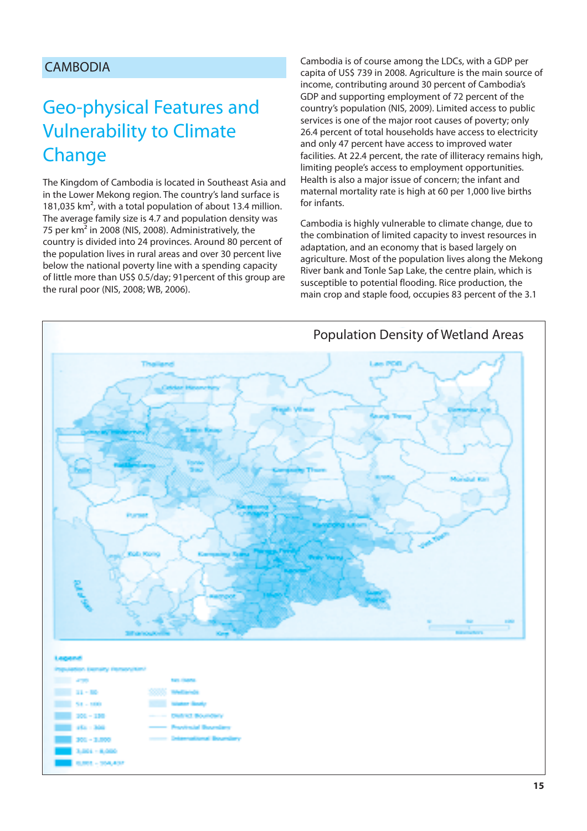#### CAMBODIA

### Geo-physical Features and Vulnerability to Climate **Change**

The Kingdom of Cambodia is located in Southeast Asia and in the Lower Mekong region. The country's land surface is 181,035 km², with a total population of about 13.4 million. The average family size is 4.7 and population density was 75 per km² in 2008 (NIS, 2008). Administratively, the country is divided into 24 provinces. Around 80 percent of the population lives in rural areas and over 30 percent live below the national poverty line with a spending capacity of little more than US\$ 0.5/day; 91percent of this group are the rural poor (NIS, 2008; WB, 2006).

Cambodia is of course among the LDCs, with a GDP per capita of US\$ 739 in 2008. Agriculture is the main source of income, contributing around 30 percent of Cambodia's GDP and supporting employment of 72 percent of the country's population (NIS, 2009). Limited access to public services is one of the major root causes of poverty; only 26.4 percent of total households have access to electricity and only 47 percent have access to improved water facilities. At 22.4 percent, the rate of illiteracy remains high, limiting people's access to employment opportunities. Health is also a major issue of concern; the infant and maternal mortality rate is high at 60 per 1,000 live births for infants.

Cambodia is highly vulnerable to climate change, due to the combination of limited capacity to invest resources in adaptation, and an economy that is based largely on agriculture. Most of the population lives along the Mekong River bank and Tonle Sap Lake, the centre plain, which is susceptible to potential flooding. Rice production, the main crop and staple food, occupies 83 percent of the 3.1

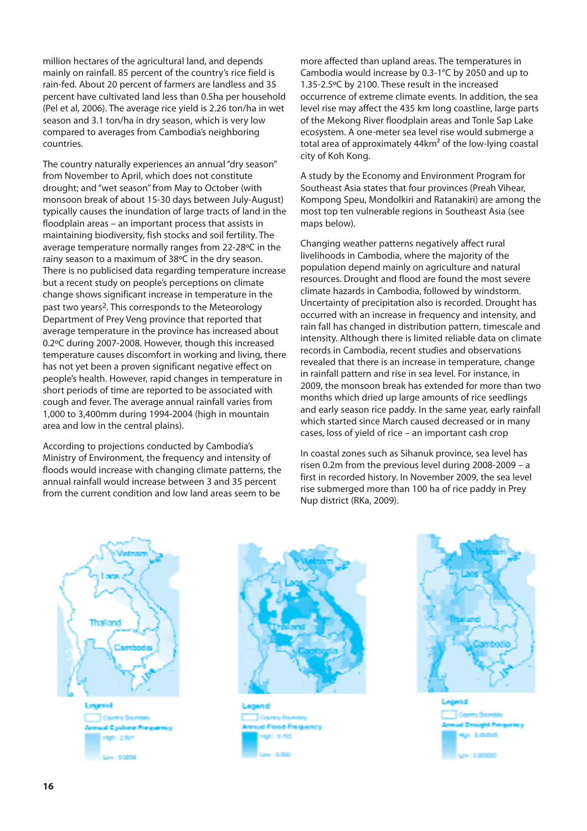million hectares of the agricultural land, and depends mainly on rainfall. 85 percent of the country's rice field is rain-fed. About 20 percent of farmers are landless and 35 percent have cultivated land less than 0.5ha per household (Pel et al, 2006). The average rice yield is 2.26 ton/ha in wet season and 3.1 ton/ha in dry season, which is very low compared to averages from Cambodia's neighboring countries.

The country naturally experiences an annual "dry season" from November to April, which does not constitute drought; and "wet season" from May to October (with monsoon break of about 15-30 days between July-August) typically causes the inundation of large tracts of land in the floodplain areas – an important process that assists in maintaining biodiversity, fish stocks and soil fertility. The average temperature normally ranges from 22-28ºC in the rainy season to a maximum of 38ºC in the dry season. There is no publicised data regarding temperature increase but a recent study on people's perceptions on climate change shows significant increase in temperature in the past two years2. This corresponds to the Meteorology Department of Prey Veng province that reported that average temperature in the province has increased about 0.2ºC during 2007-2008. However, though this increased temperature causes discomfort in working and living, there has not yet been a proven significant negative effect on people's health. However, rapid changes in temperature in short periods of time are reported to be associated with cough and fever. The average annual rainfall varies from 1,000 to 3,400mm during 1994-2004 (high in mountain area and low in the central plains).

According to projections conducted by Cambodia's Ministry of Environment, the frequency and intensity of floods would increase with changing climate patterns, the annual rainfall would increase between 3 and 35 percent from the current condition and low land areas seem to be

more affected than upland areas. The temperatures in Cambodia would increase by 0.3-1°C by 2050 and up to 1.35-2.5ºC by 2100. These result in the increased occurrence of extreme climate events. In addition, the sea level rise may affect the 435 km long coastline, large parts of the Mekong River floodplain areas and Tonle Sap Lake ecosystem. A one-meter sea level rise would submerge a total area of approximately 44km² of the low-lying coastal city of Koh Kong.

A study by the Economy and Environment Program for Southeast Asia states that four provinces (Preah Vihear, Kompong Speu, Mondolkiri and Ratanakiri) are among the most top ten vulnerable regions in Southeast Asia (see maps below).

Changing weather patterns negatively affect rural livelihoods in Cambodia, where the majority of the population depend mainly on agriculture and natural resources. Drought and flood are found the most severe climate hazards in Cambodia, followed by windstorm. Uncertainty of precipitation also is recorded. Drought has occurred with an increase in frequency and intensity, and rain fall has changed in distribution pattern, timescale and intensity. Although there is limited reliable data on climate records in Cambodia, recent studies and observations revealed that there is an increase in temperature, change in rainfall pattern and rise in sea level. For instance, in 2009, the monsoon break has extended for more than two months which dried up large amounts of rice seedlings and early season rice paddy. In the same year, early rainfall which started since March caused decreased or in many cases, loss of yield of rice – an important cash crop

In coastal zones such as Sihanuk province, sea level has risen 0.2m from the previous level during 2008-2009 – a first in recorded history. In November 2009, the sea level rise submerged more than 100 ha of rice paddy in Prey Nup district (RKa, 2009).







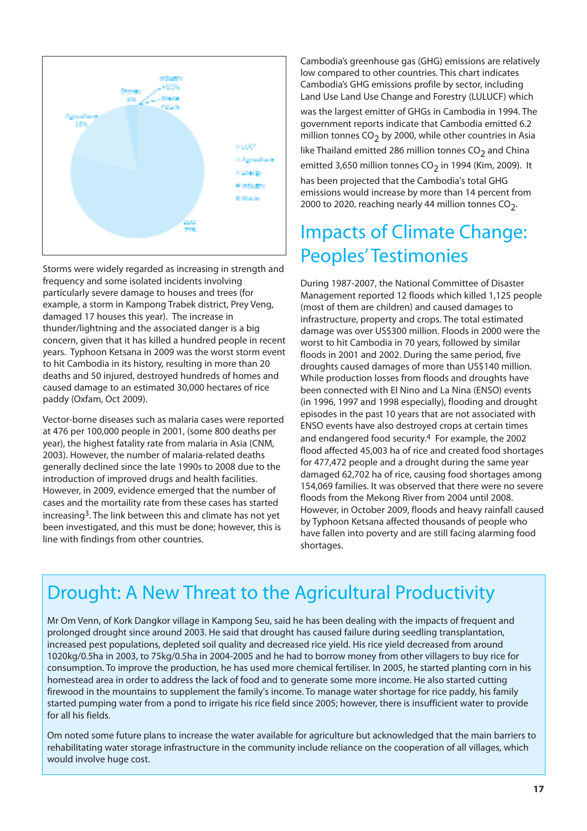

Storms were widely regarded as increasing in strength and frequency and some isolated incidents involving particularly severe damage to houses and trees (for example, a storm in Kampong Trabek district, Prey Veng, damaged 17 houses this year). The increase in thunder/lightning and the associated danger is a big concern, given that it has killed a hundred people in recent years. Typhoon Ketsana in 2009 was the worst storm event to hit Cambodia in its history, resulting in more than 20 deaths and 50 injured, destroyed hundreds of homes and caused damage to an estimated 30,000 hectares of rice paddy (Oxfam, Oct 2009).

Vector-borne diseases such as malaria cases were reported at 476 per 100,000 people in 2001, (some 800 deaths per year), the highest fatality rate from malaria in Asia (CNM, 2003). However, the number of malaria-related deaths generally declined since the late 1990s to 2008 due to the introduction of improved drugs and health facilities. However, in 2009, evidence emerged that the number of cases and the mortaility rate from these cases has started increasing3. The link between this and climate has not yet been investigated, and this must be done; however, this is line with findings from other countries.

Cambodia's greenhouse gas (GHG) emissions are relatively low compared to other countries. This chart indicates Cambodia's GHG emissions profile by sector, including Land Use Land Use Change and Forestry (LULUCF) which

was the largest emitter of GHGs in Cambodia in 1994. The government reports indicate that Cambodia emitted 6.2 million tonnes  $CO<sub>2</sub>$  by 2000, while other countries in Asia

like Thailand emitted 286 million tonnes  $CO<sub>2</sub>$  and China emitted 3,650 million tonnes CO<sub>2</sub> in 1994 (Kim, 2009). It

has been projected that the Cambodia's total GHG emissions would increase by more than 14 percent from 2000 to 2020, reaching nearly 44 million tonnes  $CO<sub>2</sub>$ .

### Impacts of Climate Change: Peoples' Testimonies

During 1987-2007, the National Committee of Disaster Management reported 12 floods which killed 1,125 people (most of them are children) and caused damages to infrastructure, property and crops. The total estimated damage was over US\$300 million. Floods in 2000 were the worst to hit Cambodia in 70 years, followed by similar floods in 2001 and 2002. During the same period, five droughts caused damages of more than US\$140 million. While production losses from floods and droughts have been connected with El Nino and La Nina (ENSO) events (in 1996, 1997 and 1998 especially), flooding and drought episodes in the past 10 years that are not associated with ENSO events have also destroyed crops at certain times and endangered food security.4 For example, the 2002 flood affected 45,003 ha of rice and created food shortages for 477,472 people and a drought during the same year damaged 62,702 ha of rice, causing food shortages among 154,069 families. It was observed that there were no severe floods from the Mekong River from 2004 until 2008. However, in October 2009, floods and heavy rainfall caused by Typhoon Ketsana affected thousands of people who have fallen into poverty and are still facing alarming food shortages.

### Drought: A New Threat to the Agricultural Productivity

Mr Om Venn, of Kork Dangkor village in Kampong Seu, said he has been dealing with the impacts of frequent and prolonged drought since around 2003. He said that drought has caused failure during seedling transplantation, increased pest populations, depleted soil quality and decreased rice yield. His rice yield decreased from around 1020kg/0.5ha in 2003, to 75kg/0.5ha in 2004-2005 and he had to borrow money from other villagers to buy rice for consumption. To improve the production, he has used more chemical fertiliser. In 2005, he started planting corn in his homestead area in order to address the lack of food and to generate some more income. He also started cutting firewood in the mountains to supplement the family's income. To manage water shortage for rice paddy, his family started pumping water from a pond to irrigate his rice field since 2005; however, there is insufficient water to provide for all his fields.

Om noted some future plans to increase the water available for agriculture but acknowledged that the main barriers to rehabilitating water storage infrastructure in the community include reliance on the cooperation of all villages, which would involve huge cost.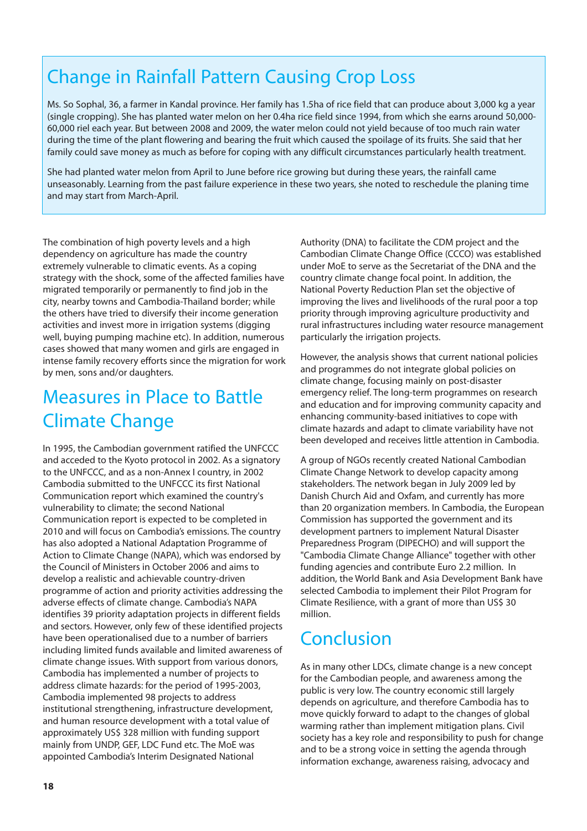### Change in Rainfall Pattern Causing Crop Loss

Ms. So Sophal, 36, a farmer in Kandal province. Her family has 1.5ha of rice field that can produce about 3,000 kg a year (single cropping). She has planted water melon on her 0.4ha rice field since 1994, from which she earns around 50,000- 60,000 riel each year. But between 2008 and 2009, the water melon could not yield because of too much rain water during the time of the plant flowering and bearing the fruit which caused the spoilage of its fruits. She said that her family could save money as much as before for coping with any difficult circumstances particularly health treatment.

She had planted water melon from April to June before rice growing but during these years, the rainfall came unseasonably. Learning from the past failure experience in these two years, she noted to reschedule the planing time and may start from March-April.

The combination of high poverty levels and a high dependency on agriculture has made the country extremely vulnerable to climatic events. As a coping strategy with the shock, some of the affected families have migrated temporarily or permanently to find job in the city, nearby towns and Cambodia-Thailand border; while the others have tried to diversify their income generation activities and invest more in irrigation systems (digging well, buying pumping machine etc). In addition, numerous cases showed that many women and girls are engaged in intense family recovery efforts since the migration for work by men, sons and/or daughters.

#### Measures in Place to Battle Climate Change

In 1995, the Cambodian government ratified the UNFCCC and acceded to the Kyoto protocol in 2002. As a signatory to the UNFCCC, and as a non-Annex I country, in 2002 Cambodia submitted to the UNFCCC its first National Communication report which examined the country's vulnerability to climate; the second National Communication report is expected to be completed in 2010 and will focus on Cambodia's emissions. The country has also adopted a National Adaptation Programme of Action to Climate Change (NAPA), which was endorsed by the Council of Ministers in October 2006 and aims to develop a realistic and achievable country-driven programme of action and priority activities addressing the adverse effects of climate change. Cambodia's NAPA identifies 39 priority adaptation projects in different fields and sectors. However, only few of these identified projects have been operationalised due to a number of barriers including limited funds available and limited awareness of climate change issues. With support from various donors, Cambodia has implemented a number of projects to address climate hazards: for the period of 1995-2003, Cambodia implemented 98 projects to address institutional strengthening, infrastructure development, and human resource development with a total value of approximately US\$ 328 million with funding support mainly from UNDP, GEF, LDC Fund etc. The MoE was appointed Cambodia's Interim Designated National

Authority (DNA) to facilitate the CDM project and the Cambodian Climate Change Office (CCCO) was established under MoE to serve as the Secretariat of the DNA and the country climate change focal point. In addition, the National Poverty Reduction Plan set the objective of improving the lives and livelihoods of the rural poor a top priority through improving agriculture productivity and rural infrastructures including water resource management particularly the irrigation projects.

However, the analysis shows that current national policies and programmes do not integrate global policies on climate change, focusing mainly on post-disaster emergency relief. The long-term programmes on research and education and for improving community capacity and enhancing community-based initiatives to cope with climate hazards and adapt to climate variability have not been developed and receives little attention in Cambodia.

A group of NGOs recently created National Cambodian Climate Change Network to develop capacity among stakeholders. The network began in July 2009 led by Danish Church Aid and Oxfam, and currently has more than 20 organization members. In Cambodia, the European Commission has supported the government and its development partners to implement Natural Disaster Preparedness Program (DIPECHO) and will support the "Cambodia Climate Change Alliance" together with other funding agencies and contribute Euro 2.2 million. In addition, the World Bank and Asia Development Bank have selected Cambodia to implement their Pilot Program for Climate Resilience, with a grant of more than US\$ 30 million.

#### Conclusion

As in many other LDCs, climate change is a new concept for the Cambodian people, and awareness among the public is very low. The country economic still largely depends on agriculture, and therefore Cambodia has to move quickly forward to adapt to the changes of global warming rather than implement mitigation plans. Civil society has a key role and responsibility to push for change and to be a strong voice in setting the agenda through information exchange, awareness raising, advocacy and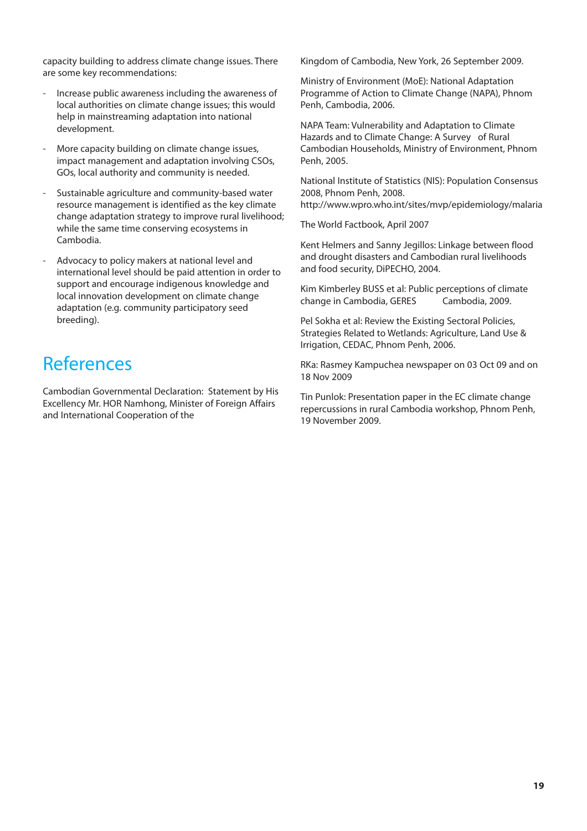capacity building to address climate change issues. There are some key recommendations:

- Increase public awareness including the awareness of local authorities on climate change issues; this would help in mainstreaming adaptation into national development.
- More capacity building on climate change issues, impact management and adaptation involving CSOs, GOs, local authority and community is needed.
- Sustainable agriculture and community-based water resource management is identified as the key climate change adaptation strategy to improve rural livelihood; while the same time conserving ecosystems in Cambodia.
- Advocacy to policy makers at national level and international level should be paid attention in order to support and encourage indigenous knowledge and local innovation development on climate change adaptation (e.g. community participatory seed breeding).

#### References

Cambodian Governmental Declaration: Statement by His Excellency Mr. HOR Namhong, Minister of Foreign Affairs and International Cooperation of the

Kingdom of Cambodia, New York, 26 September 2009.

Ministry of Environment (MoE): National Adaptation Programme of Action to Climate Change (NAPA), Phnom Penh, Cambodia, 2006.

NAPA Team: Vulnerability and Adaptation to Climate Hazards and to Climate Change: A Survey of Rural Cambodian Households, Ministry of Environment, Phnom Penh, 2005.

National Institute of Statistics (NIS): Population Consensus 2008, Phnom Penh, 2008.

http://www.wpro.who.int/sites/mvp/epidemiology/malaria

The World Factbook, April 2007

Kent Helmers and Sanny Jegillos: Linkage between flood and drought disasters and Cambodian rural livelihoods and food security, DiPECHO, 2004.

Kim Kimberley BUSS et al: Public perceptions of climate change in Cambodia, GERES Cambodia, 2009.

Pel Sokha et al: Review the Existing Sectoral Policies, Strategies Related to Wetlands: Agriculture, Land Use & Irrigation, CEDAC, Phnom Penh, 2006.

RKa: Rasmey Kampuchea newspaper on 03 Oct 09 and on 18 Nov 2009

Tin Punlok: Presentation paper in the EC climate change repercussions in rural Cambodia workshop, Phnom Penh, 19 November 2009.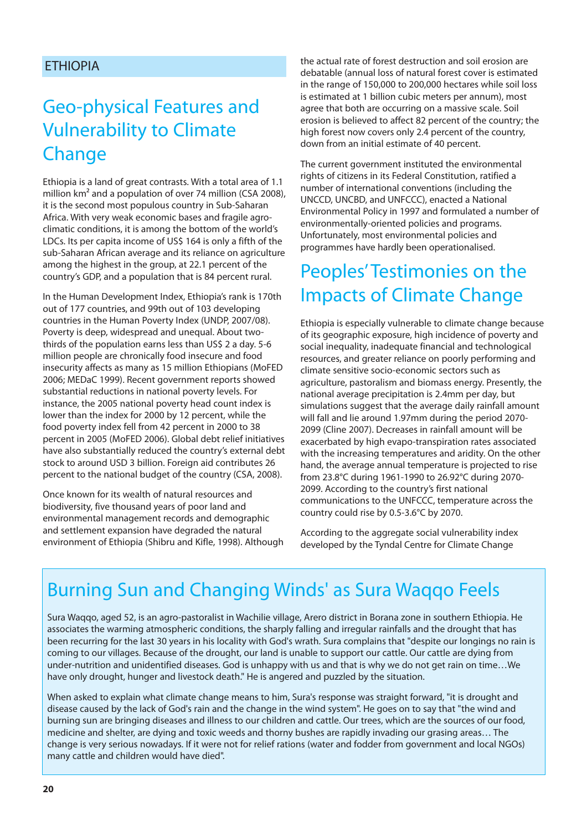#### ETHIOPIA

### Geo-physical Features and Vulnerability to Climate Change

Ethiopia is a land of great contrasts. With a total area of 1.1 million km<sup>2</sup> and a population of over 74 million (CSA 2008), it is the second most populous country in Sub-Saharan Africa. With very weak economic bases and fragile agroclimatic conditions, it is among the bottom of the world's LDCs. Its per capita income of US\$ 164 is only a fifth of the sub-Saharan African average and its reliance on agriculture among the highest in the group, at 22.1 percent of the country's GDP, and a population that is 84 percent rural.

In the Human Development Index, Ethiopia's rank is 170th out of 177 countries, and 99th out of 103 developing countries in the Human Poverty Index (UNDP, 2007/08). Poverty is deep, widespread and unequal. About twothirds of the population earns less than US\$ 2 a day. 5-6 million people are chronically food insecure and food insecurity affects as many as 15 million Ethiopians (MoFED 2006; MEDaC 1999). Recent government reports showed substantial reductions in national poverty levels. For instance, the 2005 national poverty head count index is lower than the index for 2000 by 12 percent, while the food poverty index fell from 42 percent in 2000 to 38 percent in 2005 (MoFED 2006). Global debt relief initiatives have also substantially reduced the country's external debt stock to around USD 3 billion. Foreign aid contributes 26 percent to the national budget of the country (CSA, 2008).

Once known for its wealth of natural resources and biodiversity, five thousand years of poor land and environmental management records and demographic and settlement expansion have degraded the natural environment of Ethiopia (Shibru and Kifle, 1998). Although the actual rate of forest destruction and soil erosion are debatable (annual loss of natural forest cover is estimated in the range of 150,000 to 200,000 hectares while soil loss is estimated at 1 billion cubic meters per annum), most agree that both are occurring on a massive scale. Soil erosion is believed to affect 82 percent of the country; the high forest now covers only 2.4 percent of the country, down from an initial estimate of 40 percent.

The current government instituted the environmental rights of citizens in its Federal Constitution, ratified a number of international conventions (including the UNCCD, UNCBD, and UNFCCC), enacted a National Environmental Policy in 1997 and formulated a number of environmentally-oriented policies and programs. Unfortunately, most environmental policies and programmes have hardly been operationalised.

#### Peoples' Testimonies on the Impacts of Climate Change

Ethiopia is especially vulnerable to climate change because of its geographic exposure, high incidence of poverty and social inequality, inadequate financial and technological resources, and greater reliance on poorly performing and climate sensitive socio-economic sectors such as agriculture, pastoralism and biomass energy. Presently, the national average precipitation is 2.4mm per day, but simulations suggest that the average daily rainfall amount will fall and lie around 1.97mm during the period 2070- 2099 (Cline 2007). Decreases in rainfall amount will be exacerbated by high evapo-transpiration rates associated with the increasing temperatures and aridity. On the other hand, the average annual temperature is projected to rise from 23.8°C during 1961-1990 to 26.92°C during 2070- 2099. According to the country's first national communications to the UNFCCC, temperature across the country could rise by 0.5-3.6°C by 2070.

According to the aggregate social vulnerability index developed by the Tyndal Centre for Climate Change

### Burning Sun and Changing Winds' as Sura Waqqo Feels

Sura Waqqo, aged 52, is an agro-pastoralist in Wachilie village, Arero district in Borana zone in southern Ethiopia. He associates the warming atmospheric conditions, the sharply falling and irregular rainfalls and the drought that has been recurring for the last 30 years in his locality with God's wrath. Sura complains that "despite our longings no rain is coming to our villages. Because of the drought, our land is unable to support our cattle. Our cattle are dying from under-nutrition and unidentified diseases. God is unhappy with us and that is why we do not get rain on time…We have only drought, hunger and livestock death." He is angered and puzzled by the situation.

When asked to explain what climate change means to him, Sura's response was straight forward, "it is drought and disease caused by the lack of God's rain and the change in the wind system". He goes on to say that "the wind and burning sun are bringing diseases and illness to our children and cattle. Our trees, which are the sources of our food, medicine and shelter, are dying and toxic weeds and thorny bushes are rapidly invading our grasing areas… The change is very serious nowadays. If it were not for relief rations (water and fodder from government and local NGOs) many cattle and children would have died".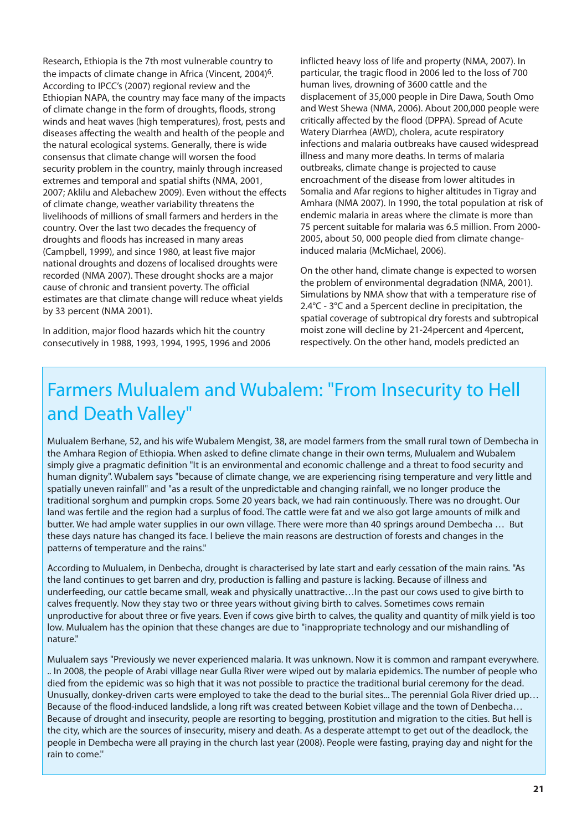Research, Ethiopia is the 7th most vulnerable country to the impacts of climate change in Africa (Vincent, 2004)6. According to IPCC's (2007) regional review and the Ethiopian NAPA, the country may face many of the impacts of climate change in the form of droughts, floods, strong winds and heat waves (high temperatures), frost, pests and diseases affecting the wealth and health of the people and the natural ecological systems. Generally, there is wide consensus that climate change will worsen the food security problem in the country, mainly through increased extremes and temporal and spatial shifts (NMA, 2001, 2007; Aklilu and Alebachew 2009). Even without the effects of climate change, weather variability threatens the livelihoods of millions of small farmers and herders in the country. Over the last two decades the frequency of droughts and floods has increased in many areas (Campbell, 1999), and since 1980, at least five major national droughts and dozens of localised droughts were recorded (NMA 2007). These drought shocks are a major cause of chronic and transient poverty. The official estimates are that climate change will reduce wheat yields by 33 percent (NMA 2001).

In addition, major flood hazards which hit the country consecutively in 1988, 1993, 1994, 1995, 1996 and 2006 inflicted heavy loss of life and property (NMA, 2007). In particular, the tragic flood in 2006 led to the loss of 700 human lives, drowning of 3600 cattle and the displacement of 35,000 people in Dire Dawa, South Omo and West Shewa (NMA, 2006). About 200,000 people were critically affected by the flood (DPPA). Spread of Acute Watery Diarrhea (AWD), cholera, acute respiratory infections and malaria outbreaks have caused widespread illness and many more deaths. In terms of malaria outbreaks, climate change is projected to cause encroachment of the disease from lower altitudes in Somalia and Afar regions to higher altitudes in Tigray and Amhara (NMA 2007). In 1990, the total population at risk of endemic malaria in areas where the climate is more than 75 percent suitable for malaria was 6.5 million. From 2000- 2005, about 50, 000 people died from climate changeinduced malaria (McMichael, 2006).

On the other hand, climate change is expected to worsen the problem of environmental degradation (NMA, 2001). Simulations by NMA show that with a temperature rise of 2.4°C - 3°C and a 5percent decline in precipitation, the spatial coverage of subtropical dry forests and subtropical moist zone will decline by 21-24percent and 4percent, respectively. On the other hand, models predicted an

### Farmers Mulualem and Wubalem: "From Insecurity to Hell and Death Valley"

Mulualem Berhane, 52, and his wife Wubalem Mengist, 38, are model farmers from the small rural town of Dembecha in the Amhara Region of Ethiopia. When asked to define climate change in their own terms, Mulualem and Wubalem simply give a pragmatic definition "It is an environmental and economic challenge and a threat to food security and human dignity". Wubalem says "because of climate change, we are experiencing rising temperature and very little and spatially uneven rainfall" and "as a result of the unpredictable and changing rainfall, we no longer produce the traditional sorghum and pumpkin crops. Some 20 years back, we had rain continuously. There was no drought. Our land was fertile and the region had a surplus of food. The cattle were fat and we also got large amounts of milk and butter. We had ample water supplies in our own village. There were more than 40 springs around Dembecha … But these days nature has changed its face. I believe the main reasons are destruction of forests and changes in the patterns of temperature and the rains."

According to Mulualem, in Denbecha, drought is characterised by late start and early cessation of the main rains. "As the land continues to get barren and dry, production is falling and pasture is lacking. Because of illness and underfeeding, our cattle became small, weak and physically unattractive…In the past our cows used to give birth to calves frequently. Now they stay two or three years without giving birth to calves. Sometimes cows remain unproductive for about three or five years. Even if cows give birth to calves, the quality and quantity of milk yield is too low. Mulualem has the opinion that these changes are due to "inappropriate technology and our mishandling of nature."

Mulualem says "Previously we never experienced malaria. It was unknown. Now it is common and rampant everywhere. .. In 2008, the people of Arabi village near Gulla River were wiped out by malaria epidemics. The number of people who died from the epidemic was so high that it was not possible to practice the traditional burial ceremony for the dead. Unusually, donkey-driven carts were employed to take the dead to the burial sites... The perennial Gola River dried up… Because of the flood-induced landslide, a long rift was created between Kobiet village and the town of Denbecha… Because of drought and insecurity, people are resorting to begging, prostitution and migration to the cities. But hell is the city, which are the sources of insecurity, misery and death. As a desperate attempt to get out of the deadlock, the people in Dembecha were all praying in the church last year (2008). People were fasting, praying day and night for the rain to come.''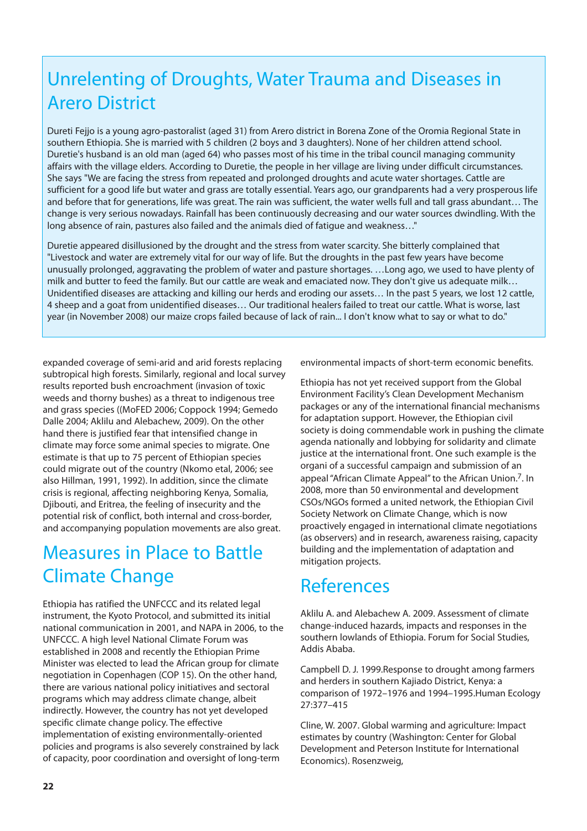### Unrelenting of Droughts, Water Trauma and Diseases in Arero District

Dureti Fejjo is a young agro-pastoralist (aged 31) from Arero district in Borena Zone of the Oromia Regional State in southern Ethiopia. She is married with 5 children (2 boys and 3 daughters). None of her children attend school. Duretie's husband is an old man (aged 64) who passes most of his time in the tribal council managing community affairs with the village elders. According to Duretie, the people in her village are living under difficult circumstances. She says "We are facing the stress from repeated and prolonged droughts and acute water shortages. Cattle are sufficient for a good life but water and grass are totally essential. Years ago, our grandparents had a very prosperous life and before that for generations, life was great. The rain was sufficient, the water wells full and tall grass abundant… The change is very serious nowadays. Rainfall has been continuously decreasing and our water sources dwindling. With the long absence of rain, pastures also failed and the animals died of fatigue and weakness…"

Duretie appeared disillusioned by the drought and the stress from water scarcity. She bitterly complained that "Livestock and water are extremely vital for our way of life. But the droughts in the past few years have become unusually prolonged, aggravating the problem of water and pasture shortages. …Long ago, we used to have plenty of milk and butter to feed the family. But our cattle are weak and emaciated now. They don't give us adequate milk… Unidentified diseases are attacking and killing our herds and eroding our assets… In the past 5 years, we lost 12 cattle, 4 sheep and a goat from unidentified diseases… Our traditional healers failed to treat our cattle. What is worse, last year (in November 2008) our maize crops failed because of lack of rain... I don't know what to say or what to do."

expanded coverage of semi-arid and arid forests replacing subtropical high forests. Similarly, regional and local survey results reported bush encroachment (invasion of toxic weeds and thorny bushes) as a threat to indigenous tree and grass species ((MoFED 2006; Coppock 1994; Gemedo Dalle 2004; Aklilu and Alebachew, 2009). On the other hand there is justified fear that intensified change in climate may force some animal species to migrate. One estimate is that up to 75 percent of Ethiopian species could migrate out of the country (Nkomo etal, 2006; see also Hillman, 1991, 1992). In addition, since the climate crisis is regional, affecting neighboring Kenya, Somalia, Djibouti, and Eritrea, the feeling of insecurity and the potential risk of conflict, both internal and cross-border, and accompanying population movements are also great.

### Measures in Place to Battle Climate Change

Ethiopia has ratified the UNFCCC and its related legal instrument, the Kyoto Protocol, and submitted its initial national communication in 2001, and NAPA in 2006, to the UNFCCC. A high level National Climate Forum was established in 2008 and recently the Ethiopian Prime Minister was elected to lead the African group for climate negotiation in Copenhagen (COP 15). On the other hand, there are various national policy initiatives and sectoral programs which may address climate change, albeit indirectly. However, the country has not yet developed specific climate change policy. The effective implementation of existing environmentally-oriented policies and programs is also severely constrained by lack of capacity, poor coordination and oversight of long-term

environmental impacts of short-term economic benefits.

Ethiopia has not yet received support from the Global Environment Facility's Clean Development Mechanism packages or any of the international financial mechanisms for adaptation support. However, the Ethiopian civil society is doing commendable work in pushing the climate agenda nationally and lobbying for solidarity and climate justice at the international front. One such example is the organi of a successful campaign and submission of an appeal "African Climate Appeal" to the African Union.7. In 2008, more than 50 environmental and development CSOs/NGOs formed a united network, the Ethiopian Civil Society Network on Climate Change, which is now proactively engaged in international climate negotiations (as observers) and in research, awareness raising, capacity building and the implementation of adaptation and mitigation projects.

#### References

Aklilu A. and Alebachew A. 2009. Assessment of climate change-induced hazards, impacts and responses in the southern lowlands of Ethiopia. Forum for Social Studies, Addis Ababa.

Campbell D. J. 1999.Response to drought among farmers and herders in southern Kajiado District, Kenya: a comparison of 1972–1976 and 1994–1995.Human Ecology 27:377–415

Cline, W. 2007. Global warming and agriculture: Impact estimates by country (Washington: Center for Global Development and Peterson Institute for International Economics). Rosenzweig,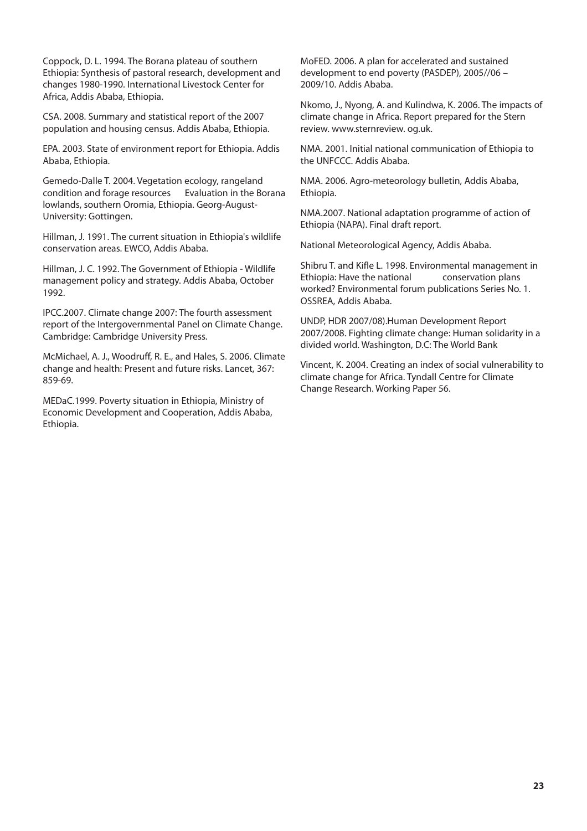Coppock, D. L. 1994. The Borana plateau of southern Ethiopia: Synthesis of pastoral research, development and changes 1980-1990. International Livestock Center for Africa, Addis Ababa, Ethiopia.

CSA. 2008. Summary and statistical report of the 2007 population and housing census. Addis Ababa, Ethiopia.

EPA. 2003. State of environment report for Ethiopia. Addis Ababa, Ethiopia.

Gemedo-Dalle T. 2004. Vegetation ecology, rangeland condition and forage resources Evaluation in the Borana lowlands, southern Oromia, Ethiopia. Georg-August-University: Gottingen.

Hillman, J. 1991. The current situation in Ethiopia's wildlife conservation areas. EWCO, Addis Ababa.

Hillman, J. C. 1992. The Government of Ethiopia - Wildlife management policy and strategy. Addis Ababa, October 1992.

IPCC.2007. Climate change 2007: The fourth assessment report of the Intergovernmental Panel on Climate Change. Cambridge: Cambridge University Press.

McMichael, A. J., Woodruff, R. E., and Hales, S. 2006. Climate change and health: Present and future risks. Lancet, 367: 859-69.

MEDaC.1999. Poverty situation in Ethiopia, Ministry of Economic Development and Cooperation, Addis Ababa, Ethiopia.

MoFED. 2006. A plan for accelerated and sustained development to end poverty (PASDEP), 2005//06 – 2009/10. Addis Ababa.

Nkomo, J., Nyong, A. and Kulindwa, K. 2006. The impacts of climate change in Africa. Report prepared for the Stern review. www.sternreview. og.uk.

NMA. 2001. Initial national communication of Ethiopia to the UNFCCC. Addis Ababa.

NMA. 2006. Agro-meteorology bulletin, Addis Ababa, Ethiopia.

NMA.2007. National adaptation programme of action of Ethiopia (NAPA). Final draft report.

National Meteorological Agency, Addis Ababa.

Shibru T. and Kifle L. 1998. Environmental management in Ethiopia: Have the national conservation plans worked? Environmental forum publications Series No. 1. OSSREA, Addis Ababa.

UNDP, HDR 2007/08).Human Development Report 2007/2008. Fighting climate change: Human solidarity in a divided world. Washington, D.C: The World Bank

Vincent, K. 2004. Creating an index of social vulnerability to climate change for Africa. Tyndall Centre for Climate Change Research. Working Paper 56.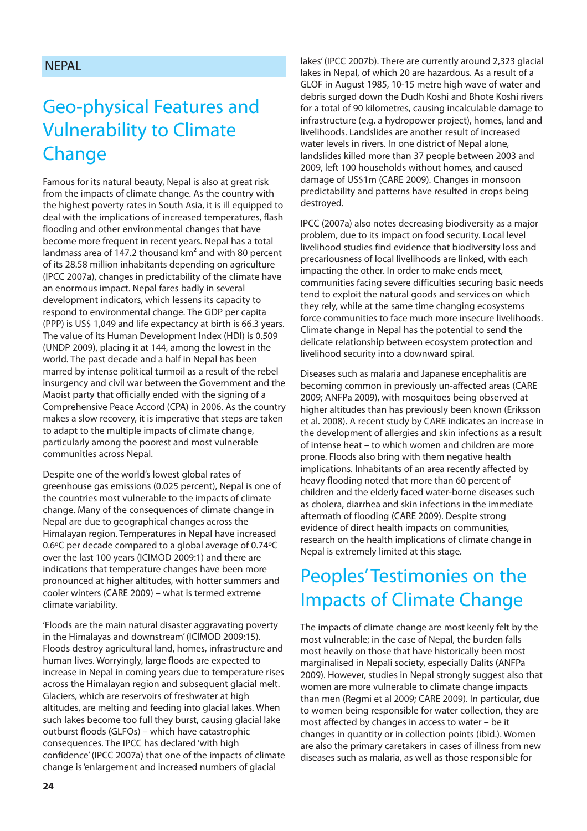#### **NFPAL**

### Geo-physical Features and Vulnerability to Climate Change

Famous for its natural beauty, Nepal is also at great risk from the impacts of climate change. As the country with the highest poverty rates in South Asia, it is ill equipped to deal with the implications of increased temperatures, flash flooding and other environmental changes that have become more frequent in recent years. Nepal has a total landmass area of 147.2 thousand km<sup>2</sup> and with 80 percent of its 28.58 million inhabitants depending on agriculture (IPCC 2007a), changes in predictability of the climate have an enormous impact. Nepal fares badly in several development indicators, which lessens its capacity to respond to environmental change. The GDP per capita (PPP) is US\$ 1,049 and life expectancy at birth is 66.3 years. The value of its Human Development Index (HDI) is 0.509 (UNDP 2009), placing it at 144, among the lowest in the world. The past decade and a half in Nepal has been marred by intense political turmoil as a result of the rebel insurgency and civil war between the Government and the Maoist party that officially ended with the signing of a Comprehensive Peace Accord (CPA) in 2006. As the country makes a slow recovery, it is imperative that steps are taken to adapt to the multiple impacts of climate change, particularly among the poorest and most vulnerable communities across Nepal.

Despite one of the world's lowest global rates of greenhouse gas emissions (0.025 percent), Nepal is one of the countries most vulnerable to the impacts of climate change. Many of the consequences of climate change in Nepal are due to geographical changes across the Himalayan region. Temperatures in Nepal have increased 0.6ºC per decade compared to a global average of 0.74ºC over the last 100 years (ICIMOD 2009:1) and there are indications that temperature changes have been more pronounced at higher altitudes, with hotter summers and cooler winters (CARE 2009) – what is termed extreme climate variability.

'Floods are the main natural disaster aggravating poverty in the Himalayas and downstream' (ICIMOD 2009:15). Floods destroy agricultural land, homes, infrastructure and human lives. Worryingly, large floods are expected to increase in Nepal in coming years due to temperature rises across the Himalayan region and subsequent glacial melt. Glaciers, which are reservoirs of freshwater at high altitudes, are melting and feeding into glacial lakes. When such lakes become too full they burst, causing glacial lake outburst floods (GLFOs) – which have catastrophic consequences. The IPCC has declared 'with high confidence' (IPCC 2007a) that one of the impacts of climate change is 'enlargement and increased numbers of glacial

lakes' (IPCC 2007b). There are currently around 2,323 glacial lakes in Nepal, of which 20 are hazardous. As a result of a GLOF in August 1985, 10-15 metre high wave of water and debris surged down the Dudh Koshi and Bhote Koshi rivers for a total of 90 kilometres, causing incalculable damage to infrastructure (e.g. a hydropower project), homes, land and livelihoods. Landslides are another result of increased water levels in rivers. In one district of Nepal alone, landslides killed more than 37 people between 2003 and 2009, left 100 households without homes, and caused damage of US\$1m (CARE 2009). Changes in monsoon predictability and patterns have resulted in crops being destroyed.

IPCC (2007a) also notes decreasing biodiversity as a major problem, due to its impact on food security. Local level livelihood studies find evidence that biodiversity loss and precariousness of local livelihoods are linked, with each impacting the other. In order to make ends meet, communities facing severe difficulties securing basic needs tend to exploit the natural goods and services on which they rely, while at the same time changing ecosystems force communities to face much more insecure livelihoods. Climate change in Nepal has the potential to send the delicate relationship between ecosystem protection and livelihood security into a downward spiral.

Diseases such as malaria and Japanese encephalitis are becoming common in previously un-affected areas (CARE 2009; ANFPa 2009), with mosquitoes being observed at higher altitudes than has previously been known (Eriksson et al. 2008). A recent study by CARE indicates an increase in the development of allergies and skin infections as a result of intense heat – to which women and children are more prone. Floods also bring with them negative health implications. Inhabitants of an area recently affected by heavy flooding noted that more than 60 percent of children and the elderly faced water-borne diseases such as cholera, diarrhea and skin infections in the immediate aftermath of flooding (CARE 2009). Despite strong evidence of direct health impacts on communities, research on the health implications of climate change in Nepal is extremely limited at this stage.

#### Peoples' Testimonies on the Impacts of Climate Change

The impacts of climate change are most keenly felt by the most vulnerable; in the case of Nepal, the burden falls most heavily on those that have historically been most marginalised in Nepali society, especially Dalits (ANFPa 2009). However, studies in Nepal strongly suggest also that women are more vulnerable to climate change impacts than men (Regmi et al 2009; CARE 2009). In particular, due to women being responsible for water collection, they are most affected by changes in access to water – be it changes in quantity or in collection points (ibid.). Women are also the primary caretakers in cases of illness from new diseases such as malaria, as well as those responsible for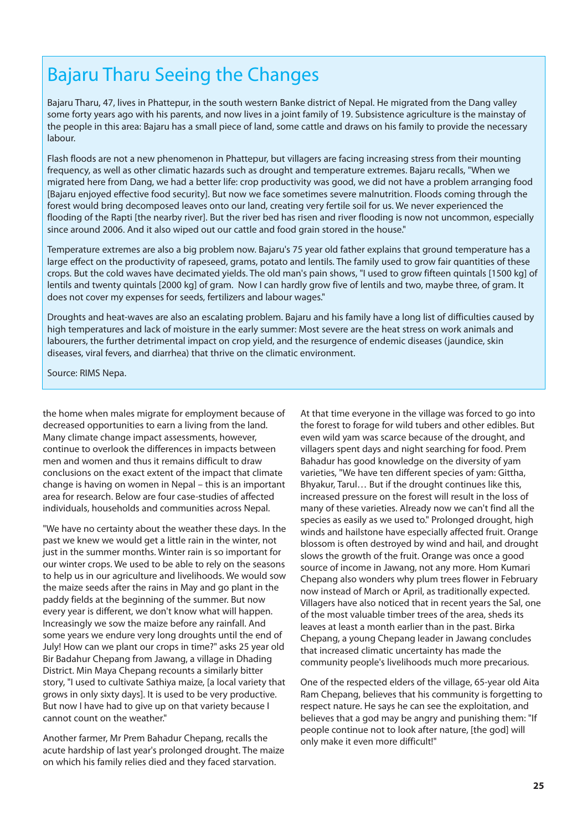#### Bajaru Tharu Seeing the Changes

Bajaru Tharu, 47, lives in Phattepur, in the south western Banke district of Nepal. He migrated from the Dang valley some forty years ago with his parents, and now lives in a joint family of 19. Subsistence agriculture is the mainstay of the people in this area: Bajaru has a small piece of land, some cattle and draws on his family to provide the necessary labour.

Flash floods are not a new phenomenon in Phattepur, but villagers are facing increasing stress from their mounting frequency, as well as other climatic hazards such as drought and temperature extremes. Bajaru recalls, "When we migrated here from Dang, we had a better life: crop productivity was good, we did not have a problem arranging food [Bajaru enjoyed effective food security]. But now we face sometimes severe malnutrition. Floods coming through the forest would bring decomposed leaves onto our land, creating very fertile soil for us. We never experienced the flooding of the Rapti [the nearby river]. But the river bed has risen and river flooding is now not uncommon, especially since around 2006. And it also wiped out our cattle and food grain stored in the house."

Temperature extremes are also a big problem now. Bajaru's 75 year old father explains that ground temperature has a large effect on the productivity of rapeseed, grams, potato and lentils. The family used to grow fair quantities of these crops. But the cold waves have decimated yields. The old man's pain shows, "I used to grow fifteen quintals [1500 kg] of lentils and twenty quintals [2000 kg] of gram. Now I can hardly grow five of lentils and two, maybe three, of gram. It does not cover my expenses for seeds, fertilizers and labour wages."

Droughts and heat-waves are also an escalating problem. Bajaru and his family have a long list of difficulties caused by high temperatures and lack of moisture in the early summer: Most severe are the heat stress on work animals and labourers, the further detrimental impact on crop yield, and the resurgence of endemic diseases (jaundice, skin diseases, viral fevers, and diarrhea) that thrive on the climatic environment.

Source: RIMS Nepa.

the home when males migrate for employment because of decreased opportunities to earn a living from the land. Many climate change impact assessments, however, continue to overlook the differences in impacts between men and women and thus it remains difficult to draw conclusions on the exact extent of the impact that climate change is having on women in Nepal – this is an important area for research. Below are four case-studies of affected individuals, households and communities across Nepal.

"We have no certainty about the weather these days. In the past we knew we would get a little rain in the winter, not just in the summer months. Winter rain is so important for our winter crops. We used to be able to rely on the seasons to help us in our agriculture and livelihoods. We would sow the maize seeds after the rains in May and go plant in the paddy fields at the beginning of the summer. But now every year is different, we don't know what will happen. Increasingly we sow the maize before any rainfall. And some years we endure very long droughts until the end of July! How can we plant our crops in time?" asks 25 year old Bir Badahur Chepang from Jawang, a village in Dhading District. Min Maya Chepang recounts a similarly bitter story, "I used to cultivate Sathiya maize, [a local variety that grows in only sixty days]. It is used to be very productive. But now I have had to give up on that variety because I cannot count on the weather."

Another farmer, Mr Prem Bahadur Chepang, recalls the acute hardship of last year's prolonged drought. The maize on which his family relies died and they faced starvation.

At that time everyone in the village was forced to go into the forest to forage for wild tubers and other edibles. But even wild yam was scarce because of the drought, and villagers spent days and night searching for food. Prem Bahadur has good knowledge on the diversity of yam varieties, "We have ten different species of yam: Gittha, Bhyakur, Tarul… But if the drought continues like this, increased pressure on the forest will result in the loss of many of these varieties. Already now we can't find all the species as easily as we used to." Prolonged drought, high winds and hailstone have especially affected fruit. Orange blossom is often destroyed by wind and hail, and drought slows the growth of the fruit. Orange was once a good source of income in Jawang, not any more. Hom Kumari Chepang also wonders why plum trees flower in February now instead of March or April, as traditionally expected. Villagers have also noticed that in recent years the Sal, one of the most valuable timber trees of the area, sheds its leaves at least a month earlier than in the past. Birka Chepang, a young Chepang leader in Jawang concludes that increased climatic uncertainty has made the community people's livelihoods much more precarious.

One of the respected elders of the village, 65-year old Aita Ram Chepang, believes that his community is forgetting to respect nature. He says he can see the exploitation, and believes that a god may be angry and punishing them: "If people continue not to look after nature, [the god] will only make it even more difficult!"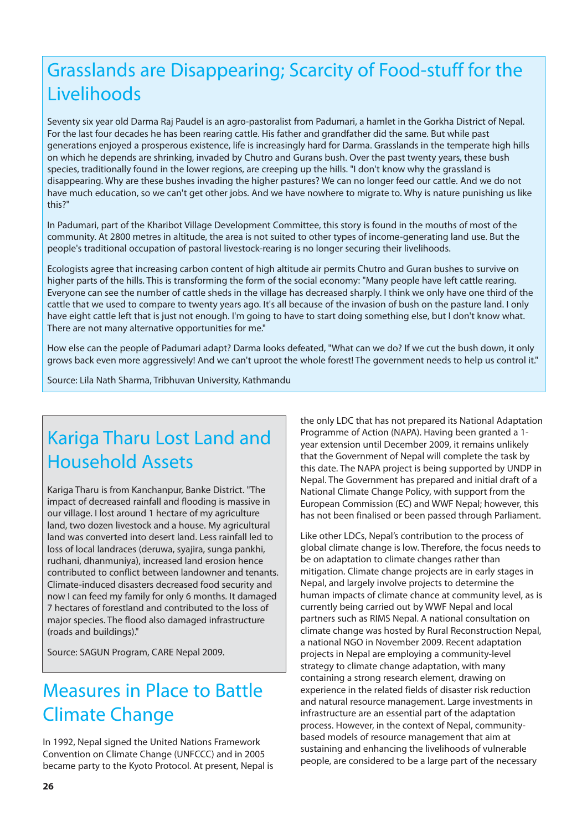### Grasslands are Disappearing; Scarcity of Food-stuff for the Livelihoods

Seventy six year old Darma Raj Paudel is an agro-pastoralist from Padumari, a hamlet in the Gorkha District of Nepal. For the last four decades he has been rearing cattle. His father and grandfather did the same. But while past generations enjoyed a prosperous existence, life is increasingly hard for Darma. Grasslands in the temperate high hills on which he depends are shrinking, invaded by Chutro and Gurans bush. Over the past twenty years, these bush species, traditionally found in the lower regions, are creeping up the hills. "I don't know why the grassland is disappearing. Why are these bushes invading the higher pastures? We can no longer feed our cattle. And we do not have much education, so we can't get other jobs. And we have nowhere to migrate to. Why is nature punishing us like this?"

In Padumari, part of the Kharibot Village Development Committee, this story is found in the mouths of most of the community. At 2800 metres in altitude, the area is not suited to other types of income-generating land use. But the people's traditional occupation of pastoral livestock-rearing is no longer securing their livelihoods.

Ecologists agree that increasing carbon content of high altitude air permits Chutro and Guran bushes to survive on higher parts of the hills. This is transforming the form of the social economy: "Many people have left cattle rearing. Everyone can see the number of cattle sheds in the village has decreased sharply. I think we only have one third of the cattle that we used to compare to twenty years ago. It's all because of the invasion of bush on the pasture land. I only have eight cattle left that is just not enough. I'm going to have to start doing something else, but I don't know what. There are not many alternative opportunities for me."

How else can the people of Padumari adapt? Darma looks defeated, "What can we do? If we cut the bush down, it only grows back even more aggressively! And we can't uproot the whole forest! The government needs to help us control it."

Source: Lila Nath Sharma, Tribhuvan University, Kathmandu

### Kariga Tharu Lost Land and Household Assets

Kariga Tharu is from Kanchanpur, Banke District. "The impact of decreased rainfall and flooding is massive in our village. I lost around 1 hectare of my agriculture land, two dozen livestock and a house. My agricultural land was converted into desert land. Less rainfall led to loss of local landraces (deruwa, syajira, sunga pankhi, rudhani, dhanmuniya), increased land erosion hence contributed to conflict between landowner and tenants. Climate-induced disasters decreased food security and now I can feed my family for only 6 months. It damaged 7 hectares of forestland and contributed to the loss of major species. The flood also damaged infrastructure (roads and buildings)."

Source: SAGUN Program, CARE Nepal 2009.

### Measures in Place to Battle Climate Change

In 1992, Nepal signed the United Nations Framework Convention on Climate Change (UNFCCC) and in 2005 became party to the Kyoto Protocol. At present, Nepal is

the only LDC that has not prepared its National Adaptation Programme of Action (NAPA). Having been granted a 1 year extension until December 2009, it remains unlikely that the Government of Nepal will complete the task by this date. The NAPA project is being supported by UNDP in Nepal. The Government has prepared and initial draft of a National Climate Change Policy, with support from the European Commission (EC) and WWF Nepal; however, this has not been finalised or been passed through Parliament.

Like other LDCs, Nepal's contribution to the process of global climate change is low. Therefore, the focus needs to be on adaptation to climate changes rather than mitigation. Climate change projects are in early stages in Nepal, and largely involve projects to determine the human impacts of climate chance at community level, as is currently being carried out by WWF Nepal and local partners such as RIMS Nepal. A national consultation on climate change was hosted by Rural Reconstruction Nepal, a national NGO in November 2009. Recent adaptation projects in Nepal are employing a community-level strategy to climate change adaptation, with many containing a strong research element, drawing on experience in the related fields of disaster risk reduction and natural resource management. Large investments in infrastructure are an essential part of the adaptation process. However, in the context of Nepal, communitybased models of resource management that aim at sustaining and enhancing the livelihoods of vulnerable people, are considered to be a large part of the necessary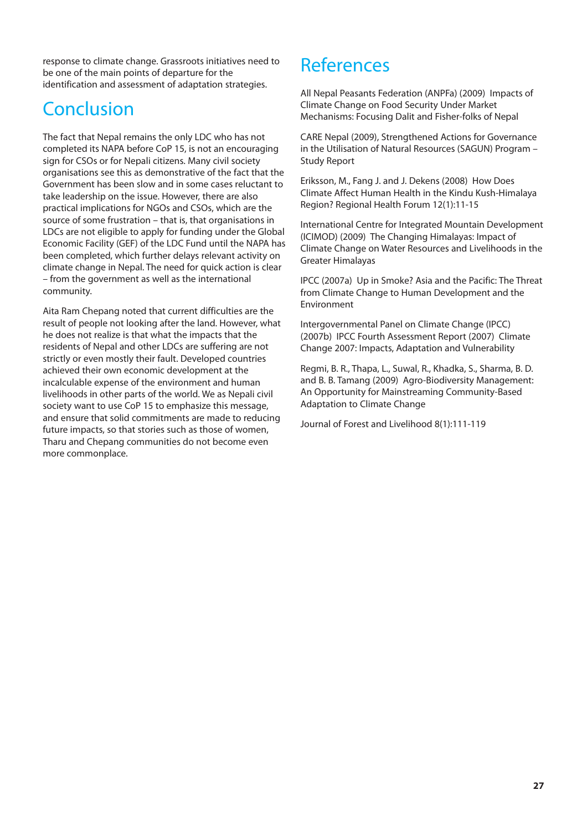response to climate change. Grassroots initiatives need to be one of the main points of departure for the identification and assessment of adaptation strategies.

### **Conclusion**

The fact that Nepal remains the only LDC who has not completed its NAPA before CoP 15, is not an encouraging sign for CSOs or for Nepali citizens. Many civil society organisations see this as demonstrative of the fact that the Government has been slow and in some cases reluctant to take leadership on the issue. However, there are also practical implications for NGOs and CSOs, which are the source of some frustration – that is, that organisations in LDCs are not eligible to apply for funding under the Global Economic Facility (GEF) of the LDC Fund until the NAPA has been completed, which further delays relevant activity on climate change in Nepal. The need for quick action is clear – from the government as well as the international community.

Aita Ram Chepang noted that current difficulties are the result of people not looking after the land. However, what he does not realize is that what the impacts that the residents of Nepal and other LDCs are suffering are not strictly or even mostly their fault. Developed countries achieved their own economic development at the incalculable expense of the environment and human livelihoods in other parts of the world. We as Nepali civil society want to use CoP 15 to emphasize this message, and ensure that solid commitments are made to reducing future impacts, so that stories such as those of women. Tharu and Chepang communities do not become even more commonplace.

#### References

All Nepal Peasants Federation (ANPFa) (2009) Impacts of Climate Change on Food Security Under Market Mechanisms: Focusing Dalit and Fisher-folks of Nepal

CARE Nepal (2009), Strengthened Actions for Governance in the Utilisation of Natural Resources (SAGUN) Program – Study Report

Eriksson, M., Fang J. and J. Dekens (2008) How Does Climate Affect Human Health in the Kindu Kush-Himalaya Region? Regional Health Forum 12(1):11-15

International Centre for Integrated Mountain Development (ICIMOD) (2009) The Changing Himalayas: Impact of Climate Change on Water Resources and Livelihoods in the Greater Himalayas

IPCC (2007a) Up in Smoke? Asia and the Pacific: The Threat from Climate Change to Human Development and the Environment

Intergovernmental Panel on Climate Change (IPCC) (2007b) IPCC Fourth Assessment Report (2007) Climate Change 2007: Impacts, Adaptation and Vulnerability

Regmi, B. R., Thapa, L., Suwal, R., Khadka, S., Sharma, B. D. and B. B. Tamang (2009) Agro-Biodiversity Management: An Opportunity for Mainstreaming Community-Based Adaptation to Climate Change

Journal of Forest and Livelihood 8(1):111-119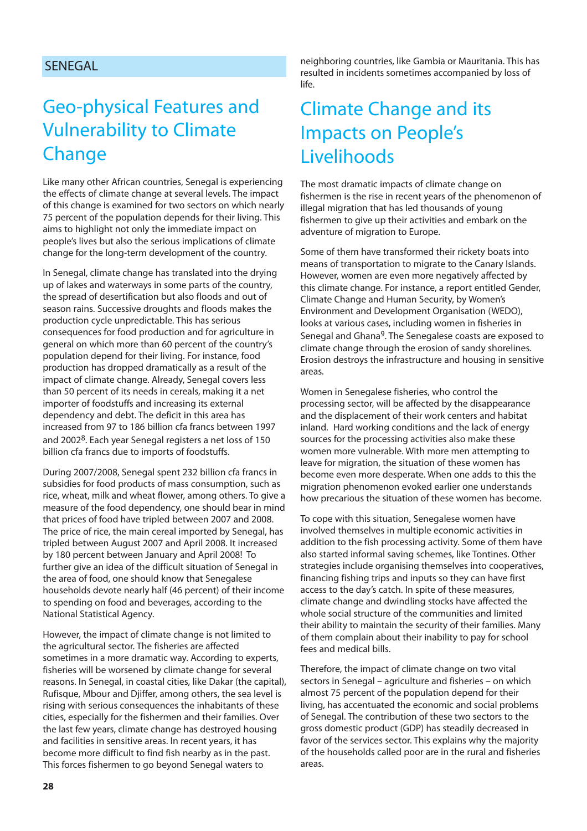#### SENEGAL

#### Geo-physical Features and Vulnerability to Climate Change

Like many other African countries, Senegal is experiencing the effects of climate change at several levels. The impact of this change is examined for two sectors on which nearly 75 percent of the population depends for their living. This aims to highlight not only the immediate impact on people's lives but also the serious implications of climate change for the long-term development of the country.

In Senegal, climate change has translated into the drying up of lakes and waterways in some parts of the country, the spread of desertification but also floods and out of season rains. Successive droughts and floods makes the production cycle unpredictable. This has serious consequences for food production and for agriculture in general on which more than 60 percent of the country's population depend for their living. For instance, food production has dropped dramatically as a result of the impact of climate change. Already, Senegal covers less than 50 percent of its needs in cereals, making it a net importer of foodstuffs and increasing its external dependency and debt. The deficit in this area has increased from 97 to 186 billion cfa francs between 1997 and 20028. Each year Senegal registers a net loss of 150 billion cfa francs due to imports of foodstuffs.

During 2007/2008, Senegal spent 232 billion cfa francs in subsidies for food products of mass consumption, such as rice, wheat, milk and wheat flower, among others. To give a measure of the food dependency, one should bear in mind that prices of food have tripled between 2007 and 2008. The price of rice, the main cereal imported by Senegal, has tripled between August 2007 and April 2008. It increased by 180 percent between January and April 2008! To further give an idea of the difficult situation of Senegal in the area of food, one should know that Senegalese households devote nearly half (46 percent) of their income to spending on food and beverages, according to the National Statistical Agency.

However, the impact of climate change is not limited to the agricultural sector. The fisheries are affected sometimes in a more dramatic way. According to experts, fisheries will be worsened by climate change for several reasons. In Senegal, in coastal cities, like Dakar (the capital), Rufisque, Mbour and Djiffer, among others, the sea level is rising with serious consequences the inhabitants of these cities, especially for the fishermen and their families. Over the last few years, climate change has destroyed housing and facilities in sensitive areas. In recent years, it has become more difficult to find fish nearby as in the past. This forces fishermen to go beyond Senegal waters to

neighboring countries, like Gambia or Mauritania. This has resulted in incidents sometimes accompanied by loss of  $l$ ife.

#### Climate Change and its Impacts on People's Livelihoods

The most dramatic impacts of climate change on fishermen is the rise in recent years of the phenomenon of illegal migration that has led thousands of young fishermen to give up their activities and embark on the adventure of migration to Europe.

Some of them have transformed their rickety boats into means of transportation to migrate to the Canary Islands. However, women are even more negatively affected by this climate change. For instance, a report entitled Gender, Climate Change and Human Security, by Women's Environment and Development Organisation (WEDO), looks at various cases, including women in fisheries in Senegal and Ghana<sup>9</sup>. The Senegalese coasts are exposed to climate change through the erosion of sandy shorelines. Erosion destroys the infrastructure and housing in sensitive areas.

Women in Senegalese fisheries, who control the processing sector, will be affected by the disappearance and the displacement of their work centers and habitat inland. Hard working conditions and the lack of energy sources for the processing activities also make these women more vulnerable. With more men attempting to leave for migration, the situation of these women has become even more desperate. When one adds to this the migration phenomenon evoked earlier one understands how precarious the situation of these women has become.

To cope with this situation, Senegalese women have involved themselves in multiple economic activities in addition to the fish processing activity. Some of them have also started informal saving schemes, like Tontines. Other strategies include organising themselves into cooperatives, financing fishing trips and inputs so they can have first access to the day's catch. In spite of these measures, climate change and dwindling stocks have affected the whole social structure of the communities and limited their ability to maintain the security of their families. Many of them complain about their inability to pay for school fees and medical bills.

Therefore, the impact of climate change on two vital sectors in Senegal – agriculture and fisheries – on which almost 75 percent of the population depend for their living, has accentuated the economic and social problems of Senegal. The contribution of these two sectors to the gross domestic product (GDP) has steadily decreased in favor of the services sector. This explains why the majority of the households called poor are in the rural and fisheries areas.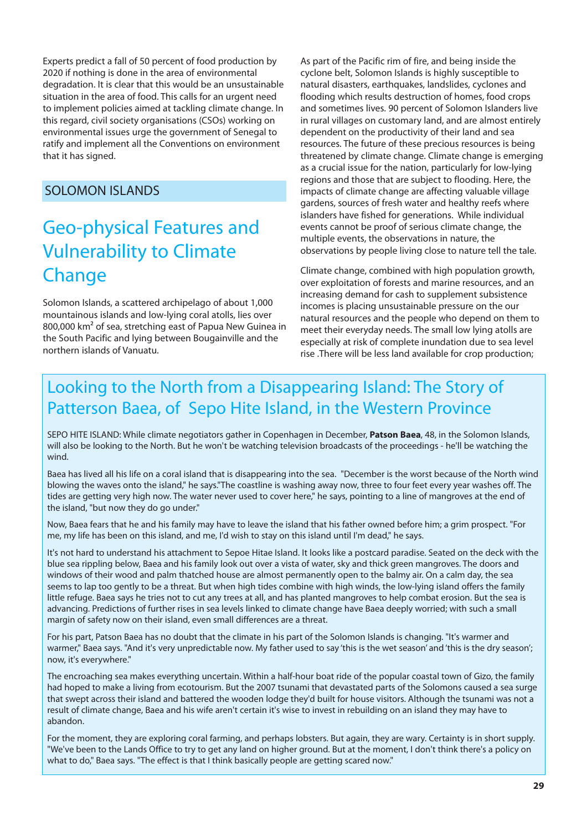Experts predict a fall of 50 percent of food production by 2020 if nothing is done in the area of environmental degradation. It is clear that this would be an unsustainable situation in the area of food. This calls for an urgent need to implement policies aimed at tackling climate change. In this regard, civil society organisations (CSOs) working on environmental issues urge the government of Senegal to ratify and implement all the Conventions on environment that it has signed.

#### SOLOMON ISLANDS

### Geo-physical Features and Vulnerability to Climate **Change**

Solomon Islands, a scattered archipelago of about 1,000 mountainous islands and low-lying coral atolls, lies over 800,000 km² of sea, stretching east of Papua New Guinea in the South Pacific and lying between Bougainville and the northern islands of Vanuatu.

As part of the Pacific rim of fire, and being inside the cyclone belt, Solomon Islands is highly susceptible to natural disasters, earthquakes, landslides, cyclones and flooding which results destruction of homes, food crops and sometimes lives. 90 percent of Solomon Islanders live in rural villages on customary land, and are almost entirely dependent on the productivity of their land and sea resources. The future of these precious resources is being threatened by climate change. Climate change is emerging as a crucial issue for the nation, particularly for low-lying regions and those that are subject to flooding. Here, the impacts of climate change are affecting valuable village gardens, sources of fresh water and healthy reefs where islanders have fished for generations. While individual events cannot be proof of serious climate change, the multiple events, the observations in nature, the observations by people living close to nature tell the tale.

Climate change, combined with high population growth, over exploitation of forests and marine resources, and an increasing demand for cash to supplement subsistence incomes is placing unsustainable pressure on the our natural resources and the people who depend on them to meet their everyday needs. The small low lying atolls are especially at risk of complete inundation due to sea level rise .There will be less land available for crop production;

#### Looking to the North from a Disappearing Island: The Story of Patterson Baea, of Sepo Hite Island, in the Western Province

SEPO HITE ISLAND: While climate negotiators gather in Copenhagen in December, **Patson Baea**, 48, in the Solomon Islands, will also be looking to the North. But he won't be watching television broadcasts of the proceedings - he'll be watching the wind.

Baea has lived all his life on a coral island that is disappearing into the sea. "December is the worst because of the North wind blowing the waves onto the island," he says."The coastline is washing away now, three to four feet every year washes off. The tides are getting very high now. The water never used to cover here," he says, pointing to a line of mangroves at the end of the island, "but now they do go under."

Now, Baea fears that he and his family may have to leave the island that his father owned before him; a grim prospect. "For me, my life has been on this island, and me, I'd wish to stay on this island until I'm dead," he says.

It's not hard to understand his attachment to Sepoe Hitae Island. It looks like a postcard paradise. Seated on the deck with the blue sea rippling below, Baea and his family look out over a vista of water, sky and thick green mangroves. The doors and windows of their wood and palm thatched house are almost permanently open to the balmy air. On a calm day, the sea seems to lap too gently to be a threat. But when high tides combine with high winds, the low-lying island offers the family little refuge. Baea says he tries not to cut any trees at all, and has planted mangroves to help combat erosion. But the sea is advancing. Predictions of further rises in sea levels linked to climate change have Baea deeply worried; with such a small margin of safety now on their island, even small differences are a threat.

For his part, Patson Baea has no doubt that the climate in his part of the Solomon Islands is changing. "It's warmer and warmer," Baea says. "And it's very unpredictable now. My father used to say 'this is the wet season' and 'this is the dry season'; now, it's everywhere."

The encroaching sea makes everything uncertain. Within a half-hour boat ride of the popular coastal town of Gizo, the family had hoped to make a living from ecotourism. But the 2007 tsunami that devastated parts of the Solomons caused a sea surge that swept across their island and battered the wooden lodge they'd built for house visitors. Although the tsunami was not a result of climate change, Baea and his wife aren't certain it's wise to invest in rebuilding on an island they may have to abandon.

For the moment, they are exploring coral farming, and perhaps lobsters. But again, they are wary. Certainty is in short supply. "We've been to the Lands Office to try to get any land on higher ground. But at the moment, I don't think there's a policy on what to do," Baea says. "The effect is that I think basically people are getting scared now."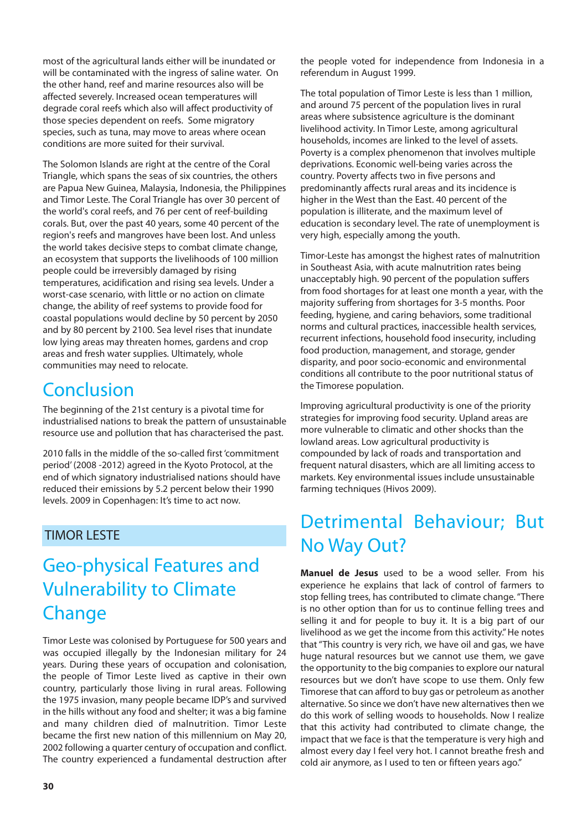most of the agricultural lands either will be inundated or will be contaminated with the ingress of saline water. On the other hand, reef and marine resources also will be affected severely. Increased ocean temperatures will degrade coral reefs which also will affect productivity of those species dependent on reefs. Some migratory species, such as tuna, may move to areas where ocean conditions are more suited for their survival.

The Solomon Islands are right at the centre of the Coral Triangle, which spans the seas of six countries, the others are Papua New Guinea, Malaysia, Indonesia, the Philippines and Timor Leste. The Coral Triangle has over 30 percent of the world's coral reefs, and 76 per cent of reef-building corals. But, over the past 40 years, some 40 percent of the region's reefs and mangroves have been lost. And unless the world takes decisive steps to combat climate change, an ecosystem that supports the livelihoods of 100 million people could be irreversibly damaged by rising temperatures, acidification and rising sea levels. Under a worst-case scenario, with little or no action on climate change, the ability of reef systems to provide food for coastal populations would decline by 50 percent by 2050 and by 80 percent by 2100. Sea level rises that inundate low lying areas may threaten homes, gardens and crop areas and fresh water supplies. Ultimately, whole communities may need to relocate.

#### **Conclusion**

The beginning of the 21st century is a pivotal time for industrialised nations to break the pattern of unsustainable resource use and pollution that has characterised the past.

2010 falls in the middle of the so-called first 'commitment period' (2008 -2012) agreed in the Kyoto Protocol, at the end of which signatory industrialised nations should have reduced their emissions by 5.2 percent below their 1990 levels. 2009 in Copenhagen: It's time to act now.

#### TIMOR LESTE

#### Geo-physical Features and Vulnerability to Climate Change

Timor Leste was colonised by Portuguese for 500 years and was occupied illegally by the Indonesian military for 24 years. During these years of occupation and colonisation, the people of Timor Leste lived as captive in their own country, particularly those living in rural areas. Following the 1975 invasion, many people became IDP's and survived in the hills without any food and shelter; it was a big famine and many children died of malnutrition. Timor Leste became the first new nation of this millennium on May 20, 2002 following a quarter century of occupation and conflict. The country experienced a fundamental destruction after

the people voted for independence from Indonesia in a referendum in August 1999.

The total population of Timor Leste is less than 1 million, and around 75 percent of the population lives in rural areas where subsistence agriculture is the dominant livelihood activity. In Timor Leste, among agricultural households, incomes are linked to the level of assets. Poverty is a complex phenomenon that involves multiple deprivations. Economic well-being varies across the country. Poverty affects two in five persons and predominantly affects rural areas and its incidence is higher in the West than the East. 40 percent of the population is illiterate, and the maximum level of education is secondary level. The rate of unemployment is very high, especially among the youth.

Timor-Leste has amongst the highest rates of malnutrition in Southeast Asia, with acute malnutrition rates being unacceptably high. 90 percent of the population suffers from food shortages for at least one month a year, with the majority suffering from shortages for 3-5 months. Poor feeding, hygiene, and caring behaviors, some traditional norms and cultural practices, inaccessible health services, recurrent infections, household food insecurity, including food production, management, and storage, gender disparity, and poor socio-economic and environmental conditions all contribute to the poor nutritional status of the Timorese population.

Improving agricultural productivity is one of the priority strategies for improving food security. Upland areas are more vulnerable to climatic and other shocks than the lowland areas. Low agricultural productivity is compounded by lack of roads and transportation and frequent natural disasters, which are all limiting access to markets. Key environmental issues include unsustainable farming techniques (Hivos 2009).

#### Detrimental Behaviour; But No Way Out?

**Manuel de Jesus** used to be a wood seller. From his experience he explains that lack of control of farmers to stop felling trees, has contributed to climate change. "There is no other option than for us to continue felling trees and selling it and for people to buy it. It is a big part of our livelihood as we get the income from this activity." He notes that "This country is very rich, we have oil and gas, we have huge natural resources but we cannot use them, we gave the opportunity to the big companies to explore our natural resources but we don't have scope to use them. Only few Timorese that can afford to buy gas or petroleum as another alternative. So since we don't have new alternatives then we do this work of selling woods to households. Now I realize that this activity had contributed to climate change, the impact that we face is that the temperature is very high and almost every day I feel very hot. I cannot breathe fresh and cold air anymore, as I used to ten or fifteen years ago."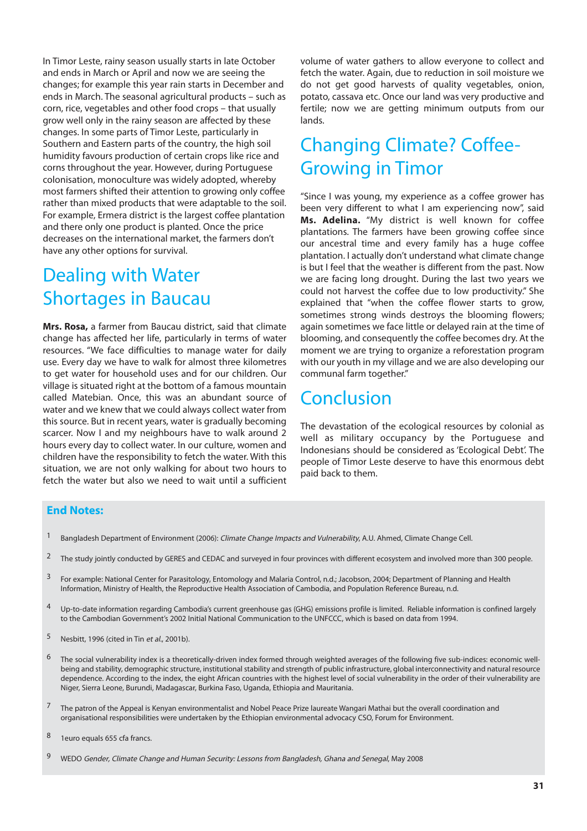In Timor Leste, rainy season usually starts in late October and ends in March or April and now we are seeing the changes; for example this year rain starts in December and ends in March. The seasonal agricultural products – such as corn, rice, vegetables and other food crops – that usually grow well only in the rainy season are affected by these changes. In some parts of Timor Leste, particularly in Southern and Eastern parts of the country, the high soil humidity favours production of certain crops like rice and corns throughout the year. However, during Portuguese colonisation, monoculture was widely adopted, whereby most farmers shifted their attention to growing only coffee rather than mixed products that were adaptable to the soil. For example, Ermera district is the largest coffee plantation and there only one product is planted. Once the price decreases on the international market, the farmers don't have any other options for survival.

#### Dealing with Water Shortages in Baucau

**Mrs. Rosa,** a farmer from Baucau district, said that climate change has affected her life, particularly in terms of water resources. "We face difficulties to manage water for daily use. Every day we have to walk for almost three kilometres to get water for household uses and for our children. Our village is situated right at the bottom of a famous mountain called Matebian. Once, this was an abundant source of water and we knew that we could always collect water from this source. But in recent years, water is gradually becoming scarcer. Now I and my neighbours have to walk around 2 hours every day to collect water. In our culture, women and children have the responsibility to fetch the water. With this situation, we are not only walking for about two hours to fetch the water but also we need to wait until a sufficient

volume of water gathers to allow everyone to collect and fetch the water. Again, due to reduction in soil moisture we do not get good harvests of quality vegetables, onion, potato, cassava etc. Once our land was very productive and fertile; now we are getting minimum outputs from our lands.

#### Changing Climate? Coffee-Growing in Timor

"Since I was young, my experience as a coffee grower has been very different to what I am experiencing now", said **Ms. Adelina.** "My district is well known for coffee plantations. The farmers have been growing coffee since our ancestral time and every family has a huge coffee plantation. I actually don't understand what climate change is but I feel that the weather is different from the past. Now we are facing long drought. During the last two years we could not harvest the coffee due to low productivity." She explained that "when the coffee flower starts to grow, sometimes strong winds destroys the blooming flowers; again sometimes we face little or delayed rain at the time of blooming, and consequently the coffee becomes dry. At the moment we are trying to organize a reforestation program with our youth in my village and we are also developing our communal farm together."

#### Conclusion

The devastation of the ecological resources by colonial as well as military occupancy by the Portuguese and Indonesians should be considered as 'Ecological Debt'. The people of Timor Leste deserve to have this enormous debt paid back to them.

#### **End Notes:**

- <sup>1</sup> Bangladesh Department of Environment (2006): Climate Change Impacts and Vulnerability, A.U. Ahmed, Climate Change Cell.
- <sup>2</sup> The study jointly conducted by GERES and CEDAC and surveyed in four provinces with different ecosystem and involved more than 300 people.
- <sup>3</sup> For example: National Center for Parasitology, Entomology and Malaria Control, n.d.; Jacobson, 2004; Department of Planning and Health Information, Ministry of Health, the Reproductive Health Association of Cambodia, and Population Reference Bureau, n.d.
- 4 Up-to-date information regarding Cambodia's current greenhouse gas (GHG) emissions profile is limited. Reliable information is confined largely to the Cambodian Government's 2002 Initial National Communication to the UNFCCC, which is based on data from 1994.
- 5 Nesbitt, 1996 (cited in Tin et al., 2001b).
- 6 The social vulnerability index is a theoretically-driven index formed through weighted averages of the following five sub-indices: economic wellbeing and stability, demographic structure, institutional stability and strength of public infrastructure, global interconnectivity and natural resource dependence. According to the index, the eight African countries with the highest level of social vulnerability in the order of their vulnerability are Niger, Sierra Leone, Burundi, Madagascar, Burkina Faso, Uganda, Ethiopia and Mauritania.
- <sup>7</sup> The patron of the Appeal is Kenyan environmentalist and Nobel Peace Prize laureate Wangari Mathai but the overall coordination and organisational responsibilities were undertaken by the Ethiopian environmental advocacy CSO, Forum for Environment.
- 8 1euro equals 655 cfa francs.
- 9 WEDO Gender, Climate Change and Human Security: Lessons from Bangladesh, Ghana and Senegal, May 2008